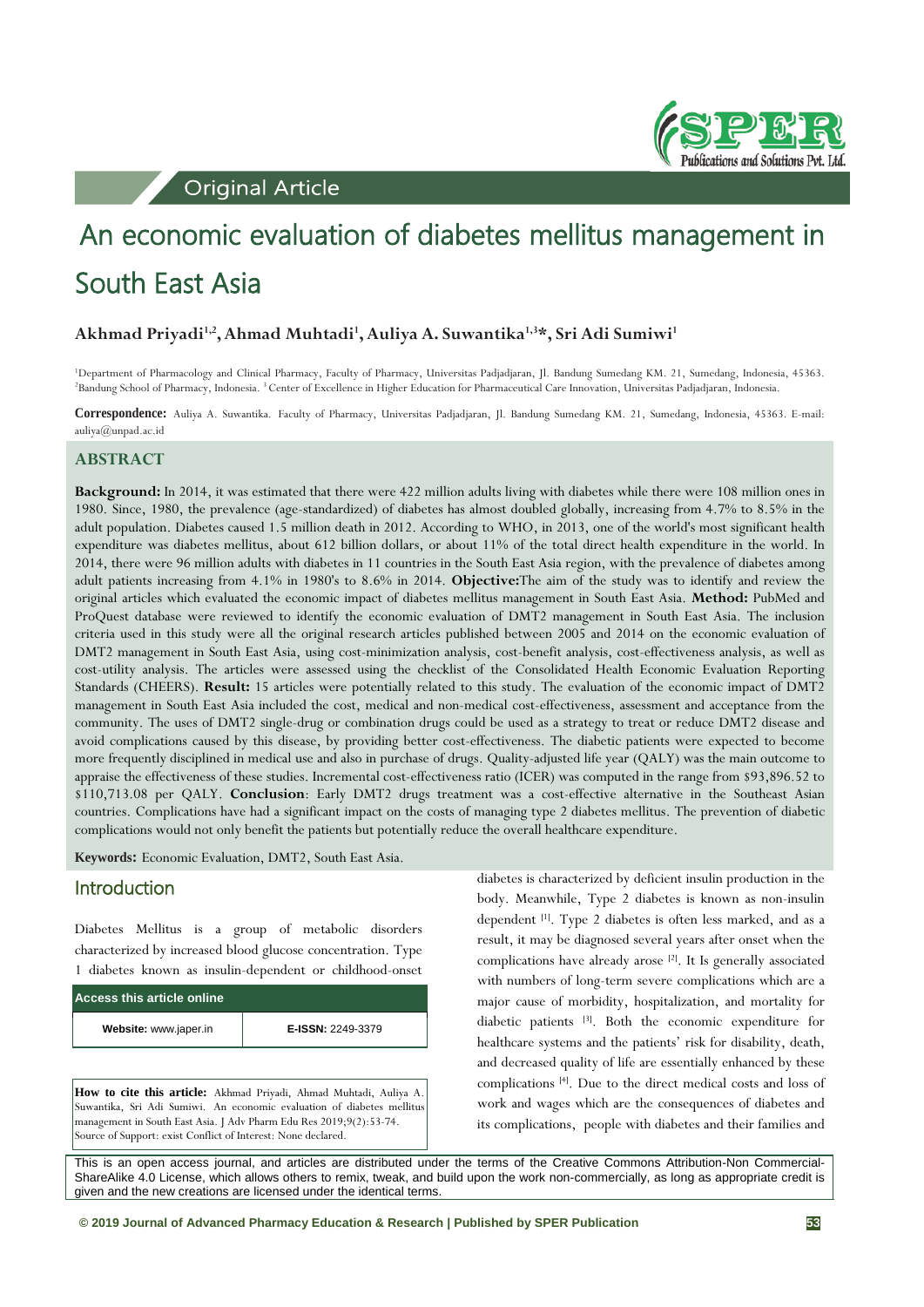**Original Article** 



# An economic evaluation of diabetes mellitus management in South East Asia

## **Akhmad Priyadi1,2,Ahmad Muhtadi1 , Auliya A. Suwantika1,3\*, Sri Adi Sumiwi1**

<sup>1</sup>Department of Pharmacology and Clinical Pharmacy, Faculty of Pharmacy, Universitas Padjadjaran, Jl. Bandung Sumedang KM. 21, Sumedang, Indonesia, 45363.<br><sup>2</sup>Bandung School of Pharmacy, Indonesia. <sup>3</sup>Center of Excellence <sup>2</sup>Bandung School of Pharmacy, Indonesia. <sup>3</sup> Center of Excellence in Higher Education for Pharmaceutical Care Innovation, Universitas Padjadjaran, Indonesia.

**Correspondence:** Auliya A. Suwantika. Faculty of Pharmacy, Universitas Padjadjaran, Jl. Bandung Sumedang KM. 21, Sumedang, Indonesia, 45363. E-mail: auliya@unpad.ac.id

#### **ABSTRACT**

**Background:** In 2014, it was estimated that there were 422 million adults living with diabetes while there were 108 million ones in 1980. Since, 1980, the prevalence (age-standardized) of diabetes has almost doubled globally, increasing from 4.7% to 8.5% in the adult population. Diabetes caused 1.5 million death in 2012. According to WHO, in 2013, one of the world's most significant health expenditure was diabetes mellitus, about 612 billion dollars, or about 11% of the total direct health expenditure in the world. In 2014, there were 96 million adults with diabetes in 11 countries in the South East Asia region, with the prevalence of diabetes among adult patients increasing from 4.1% in 1980's to 8.6% in 2014. **Objective:**The aim of the study was to identify and review the original articles which evaluated the economic impact of diabetes mellitus management in South East Asia. **Method:** PubMed and ProQuest database were reviewed to identify the economic evaluation of DMT2 management in South East Asia. The inclusion criteria used in this study were all the original research articles published between 2005 and 2014 on the economic evaluation of DMT2 management in South East Asia, using cost-minimization analysis, cost-benefit analysis, cost-effectiveness analysis, as well as cost-utility analysis. The articles were assessed using the checklist of the Consolidated Health Economic Evaluation Reporting Standards (CHEERS). **Result:** 15 articles were potentially related to this study. The evaluation of the economic impact of DMT2 management in South East Asia included the cost, medical and non-medical cost-effectiveness, assessment and acceptance from the community. The uses of DMT2 single-drug or combination drugs could be used as a strategy to treat or reduce DMT2 disease and avoid complications caused by this disease, by providing better cost-effectiveness. The diabetic patients were expected to become more frequently disciplined in medical use and also in purchase of drugs. Quality-adjusted life year (QALY) was the main outcome to appraise the effectiveness of these studies. Incremental cost-effectiveness ratio (ICER) was computed in the range from \$93,896.52 to \$110,713.08 per QALY. **Conclusion**: Early DMT2 drugs treatment was a cost-effective alternative in the Southeast Asian countries. Complications have had a significant impact on the costs of managing type 2 diabetes mellitus. The prevention of diabetic complications would not only benefit the patients but potentially reduce the overall healthcare expenditure.

**Keywords:** Economic Evaluation, DMT2, South East Asia.

## Introduction

Diabetes Mellitus is a group of metabolic disorders characterized by increased blood glucose concentration. Type 1 diabetes known as insulin-dependent or childhood-onset

| Access this article online |                          |  |  |  |  |  |  |
|----------------------------|--------------------------|--|--|--|--|--|--|
| Website: www.japer.in      | <b>E-ISSN: 2249-3379</b> |  |  |  |  |  |  |

**How to cite this article:** Akhmad Priyadi, Ahmad Muhtadi, Auliya A. Suwantika, Sri Adi Sumiwi. An economic evaluation of diabetes mellitus management in South East Asia. J Adv Pharm Edu Res 2019;9(2):53-74. Source of Support: exist Conflict of Interest: None declared.

diabetes is characterized by deficient insulin production in the body. Meanwhile, Type 2 diabetes is known as non-insulin dependent [1]. Type 2 diabetes is often less marked, and as a result, it may be diagnosed several years after onset when the complications have already arose <sup>[2]</sup>. It Is generally associated with numbers of long-term severe complications which are a major cause of morbidity, hospitalization, and mortality for diabetic patients [3] . Both the economic expenditure for healthcare systems and the patients' risk for disability, death, and decreased quality of life are essentially enhanced by these complications [4]. Due to the direct medical costs and loss of work and wages which are the consequences of diabetes and its complications, people with diabetes and their families and

This is an open access journal, and articles are distributed under the terms of the Creative Commons Attribution-Non Commercial-ShareAlike 4.0 License, which allows others to remix, tweak, and build upon the work non-commercially, as long as appropriate credit is given and the new creations are licensed under the identical terms.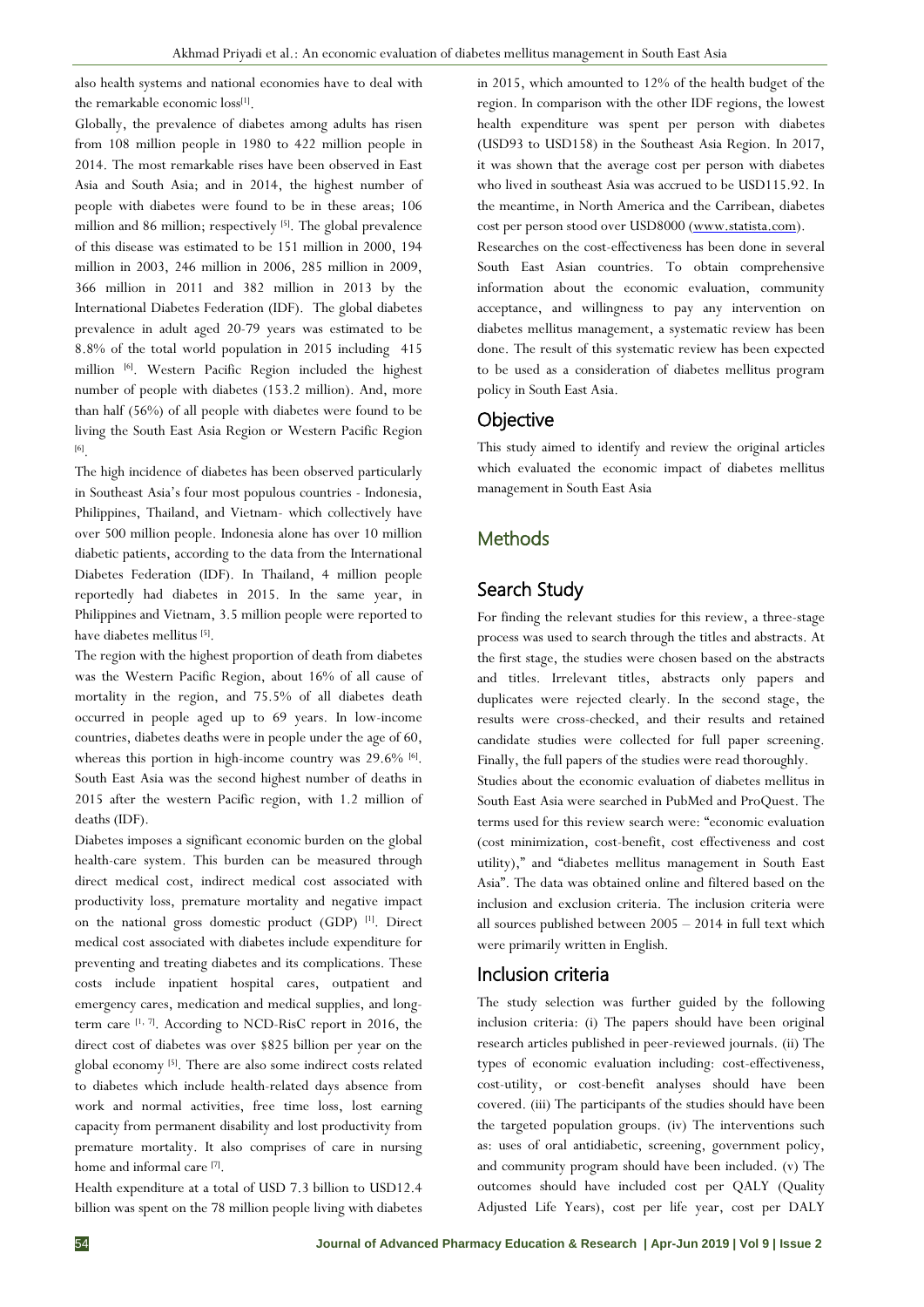also health systems and national economies have to deal with the remarkable economic loss<sup>[1]</sup>.

Globally, the prevalence of diabetes among adults has risen from 108 million people in 1980 to 422 million people in 2014. The most remarkable rises have been observed in East Asia and South Asia; and in 2014, the highest number of people with diabetes were found to be in these areas; 106 million and 86 million; respectively [5]. The global prevalence of this disease was estimated to be 151 million in 2000, 194 million in 2003, 246 million in 2006, 285 million in 2009, 366 million in 2011 and 382 million in 2013 by the International Diabetes Federation (IDF). The global diabetes prevalence in adult aged 20-79 years was estimated to be 8.8% of the total world population in 2015 including 415 million [6] . Western Pacific Region included the highest number of people with diabetes (153.2 million). And, more than half (56%) of all people with diabetes were found to be living the South East Asia Region or Western Pacific Region [6] .

The high incidence of diabetes has been observed particularly in Southeast Asia's four most populous countries - Indonesia, Philippines, Thailand, and Vietnam- which collectively have over 500 million people. Indonesia alone has over 10 million diabetic patients, according to the data from the International Diabetes Federation (IDF). In Thailand, 4 million people reportedly had diabetes in 2015. In the same year, in Philippines and Vietnam, 3.5 million people were reported to have diabetes mellitus<sup>[5]</sup>.

The region with the highest proportion of death from diabetes was the Western Pacific Region, about 16% of all cause of mortality in the region, and 75.5% of all diabetes death occurred in people aged up to 69 years. In low-income countries, diabetes deaths were in people under the age of 60, whereas this portion in high-income country was 29.6% [6]. South East Asia was the second highest number of deaths in 2015 after the western Pacific region, with 1.2 million of deaths (IDF).

Diabetes imposes a significant economic burden on the global health-care system. This burden can be measured through direct medical cost, indirect medical cost associated with productivity loss, premature mortality and negative impact on the national gross domestic product (GDP) [1] . Direct medical cost associated with diabetes include expenditure for preventing and treating diabetes and its complications. These costs include inpatient hospital cares, outpatient and emergency cares, medication and medical supplies, and longterm care  $[1, 7]$ . According to NCD-RisC report in 2016, the direct cost of diabetes was over \$825 billion per year on the global economy [5] . There are also some indirect costs related to diabetes which include health-related days absence from work and normal activities, free time loss, lost earning capacity from permanent disability and lost productivity from premature mortality. It also comprises of care in nursing home and informal care <a>[7]</a>.

Health expenditure at a total of USD 7.3 billion to USD12.4 billion was spent on the 78 million people living with diabetes in 2015, which amounted to 12% of the health budget of the region. In comparison with the other IDF regions, the lowest health expenditure was spent per person with diabetes (USD93 to USD158) in the Southeast Asia Region. In 2017, it was shown that the average cost per person with diabetes who lived in southeast Asia was accrued to be USD115.92. In the meantime, in North America and the Carribean, diabetes cost per person stood over USD8000 [\(www.statista.com\)](http://www.statista.com/).

Researches on the cost-effectiveness has been done in several South East Asian countries. To obtain comprehensive information about the economic evaluation, community acceptance, and willingness to pay any intervention on diabetes mellitus management, a systematic review has been done. The result of this systematic review has been expected to be used as a consideration of diabetes mellitus program policy in South East Asia.

#### **Objective**

This study aimed to identify and review the original articles which evaluated the economic impact of diabetes mellitus management in South East Asia

# Methods

# Search Study

For finding the relevant studies for this review, a three-stage process was used to search through the titles and abstracts. At the first stage, the studies were chosen based on the abstracts and titles. Irrelevant titles, abstracts only papers and duplicates were rejected clearly. In the second stage, the results were cross-checked, and their results and retained candidate studies were collected for full paper screening. Finally, the full papers of the studies were read thoroughly.

Studies about the economic evaluation of diabetes mellitus in South East Asia were searched in PubMed and ProQuest. The terms used for this review search were: "economic evaluation (cost minimization, cost-benefit, cost effectiveness and cost utility)," and "diabetes mellitus management in South East Asia". The data was obtained online and filtered based on the inclusion and exclusion criteria. The inclusion criteria were all sources published between 2005 – 2014 in full text which were primarily written in English.

## Inclusion criteria

The study selection was further guided by the following inclusion criteria: (i) The papers should have been original research articles published in peer-reviewed journals. (ii) The types of economic evaluation including: cost-effectiveness, cost-utility, or cost-benefit analyses should have been covered. (iii) The participants of the studies should have been the targeted population groups. (iv) The interventions such as: uses of oral antidiabetic, screening, government policy, and community program should have been included. (v) The outcomes should have included cost per QALY (Quality Adjusted Life Years), cost per life year, cost per DALY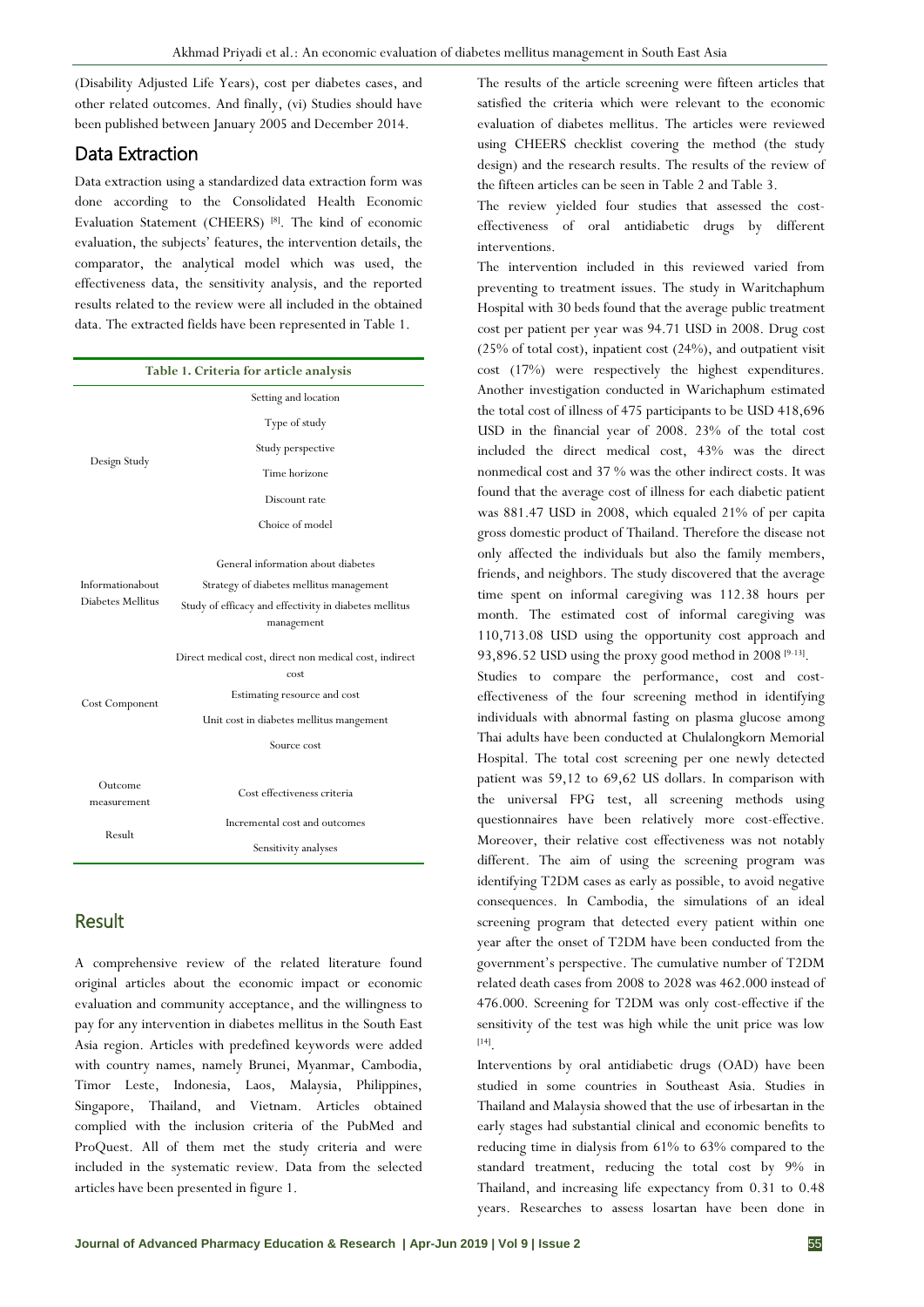(Disability Adjusted Life Years), cost per diabetes cases, and other related outcomes. And finally, (vi) Studies should have been published between January 2005 and December 2014.

# Data Extraction

Data extraction using a standardized data extraction form was done according to the Consolidated Health Economic Evaluation Statement (CHEERS)<sup>[8]</sup>. The kind of economic evaluation, the subjects' features, the intervention details, the comparator, the analytical model which was used, the effectiveness data, the sensitivity analysis, and the reported results related to the review were all included in the obtained data. The extracted fields have been represented in Table 1.

| Table 1. Criteria for article analysis |                                                                |  |  |  |  |  |  |  |
|----------------------------------------|----------------------------------------------------------------|--|--|--|--|--|--|--|
|                                        | Setting and location                                           |  |  |  |  |  |  |  |
|                                        | Type of study                                                  |  |  |  |  |  |  |  |
|                                        | Study perspective                                              |  |  |  |  |  |  |  |
| Design Study                           | Time horizone                                                  |  |  |  |  |  |  |  |
|                                        | Discount rate                                                  |  |  |  |  |  |  |  |
|                                        | Choice of model                                                |  |  |  |  |  |  |  |
|                                        | General information about diabetes                             |  |  |  |  |  |  |  |
| Informationabout                       | Strategy of diabetes mellitus management                       |  |  |  |  |  |  |  |
| Diabetes Mellitus                      | Study of efficacy and effectivity in diabetes mellitus         |  |  |  |  |  |  |  |
|                                        | management                                                     |  |  |  |  |  |  |  |
|                                        |                                                                |  |  |  |  |  |  |  |
|                                        | Direct medical cost, direct non medical cost, indirect<br>cost |  |  |  |  |  |  |  |
| Cost Component                         | Estimating resource and cost                                   |  |  |  |  |  |  |  |
|                                        | Unit cost in diabetes mellitus mangement                       |  |  |  |  |  |  |  |
|                                        | Source cost                                                    |  |  |  |  |  |  |  |
|                                        |                                                                |  |  |  |  |  |  |  |
| Outcome<br>measurement                 | Cost effectiveness criteria                                    |  |  |  |  |  |  |  |
|                                        | Incremental cost and outcomes                                  |  |  |  |  |  |  |  |
| Result                                 | Sensitivity analyses                                           |  |  |  |  |  |  |  |

# Result

A comprehensive review of the related literature found original articles about the economic impact or economic evaluation and community acceptance, and the willingness to pay for any intervention in diabetes mellitus in the South East Asia region. Articles with predefined keywords were added with country names, namely Brunei, Myanmar, Cambodia, Timor Leste, Indonesia, Laos, Malaysia, Philippines, Singapore, Thailand, and Vietnam. Articles obtained complied with the inclusion criteria of the PubMed and ProQuest. All of them met the study criteria and were included in the systematic review. Data from the selected articles have been presented in figure 1.

The results of the article screening were fifteen articles that satisfied the criteria which were relevant to the economic evaluation of diabetes mellitus. The articles were reviewed using CHEERS checklist covering the method (the study design) and the research results. The results of the review of the fifteen articles can be seen in Table 2 and Table 3.

The review yielded four studies that assessed the costeffectiveness of oral antidiabetic drugs by different interventions.

The intervention included in this reviewed varied from preventing to treatment issues. The study in Waritchaphum Hospital with 30 beds found that the average public treatment cost per patient per year was 94.71 USD in 2008. Drug cost (25% of total cost), inpatient cost (24%), and outpatient visit cost (17%) were respectively the highest expenditures. Another investigation conducted in Warichaphum estimated the total cost of illness of 475 participants to be USD 418,696 USD in the financial year of 2008. 23% of the total cost included the direct medical cost, 43% was the direct nonmedical cost and 37 % was the other indirect costs. It was found that the average cost of illness for each diabetic patient was 881.47 USD in 2008, which equaled 21% of per capita gross domestic product of Thailand. Therefore the disease not only affected the individuals but also the family members, friends, and neighbors. The study discovered that the average time spent on informal caregiving was 112.38 hours per month. The estimated cost of informal caregiving was 110,713.08 USD using the opportunity cost approach and 93,896.52 USD using the proxy good method in 2008 [9-13].

Studies to compare the performance, cost and costeffectiveness of the four screening method in identifying individuals with abnormal fasting on plasma glucose among Thai adults have been conducted at Chulalongkorn Memorial Hospital. The total cost screening per one newly detected patient was 59,12 to 69,62 US dollars. In comparison with the universal FPG test, all screening methods using questionnaires have been relatively more cost-effective. Moreover, their relative cost effectiveness was not notably different. The aim of using the screening program was identifying T2DM cases as early as possible, to avoid negative consequences. In Cambodia, the simulations of an ideal screening program that detected every patient within one year after the onset of T2DM have been conducted from the government's perspective. The cumulative number of T2DM related death cases from 2008 to 2028 was 462.000 instead of 476.000. Screening for T2DM was only cost-effective if the sensitivity of the test was high while the unit price was low [14] .

Interventions by oral antidiabetic drugs (OAD) have been studied in some countries in Southeast Asia. Studies in Thailand and Malaysia showed that the use of irbesartan in the early stages had substantial clinical and economic benefits to reducing time in dialysis from 61% to 63% compared to the standard treatment, reducing the total cost by 9% in Thailand, and increasing life expectancy from 0.31 to 0.48 years. Researches to assess losartan have been done in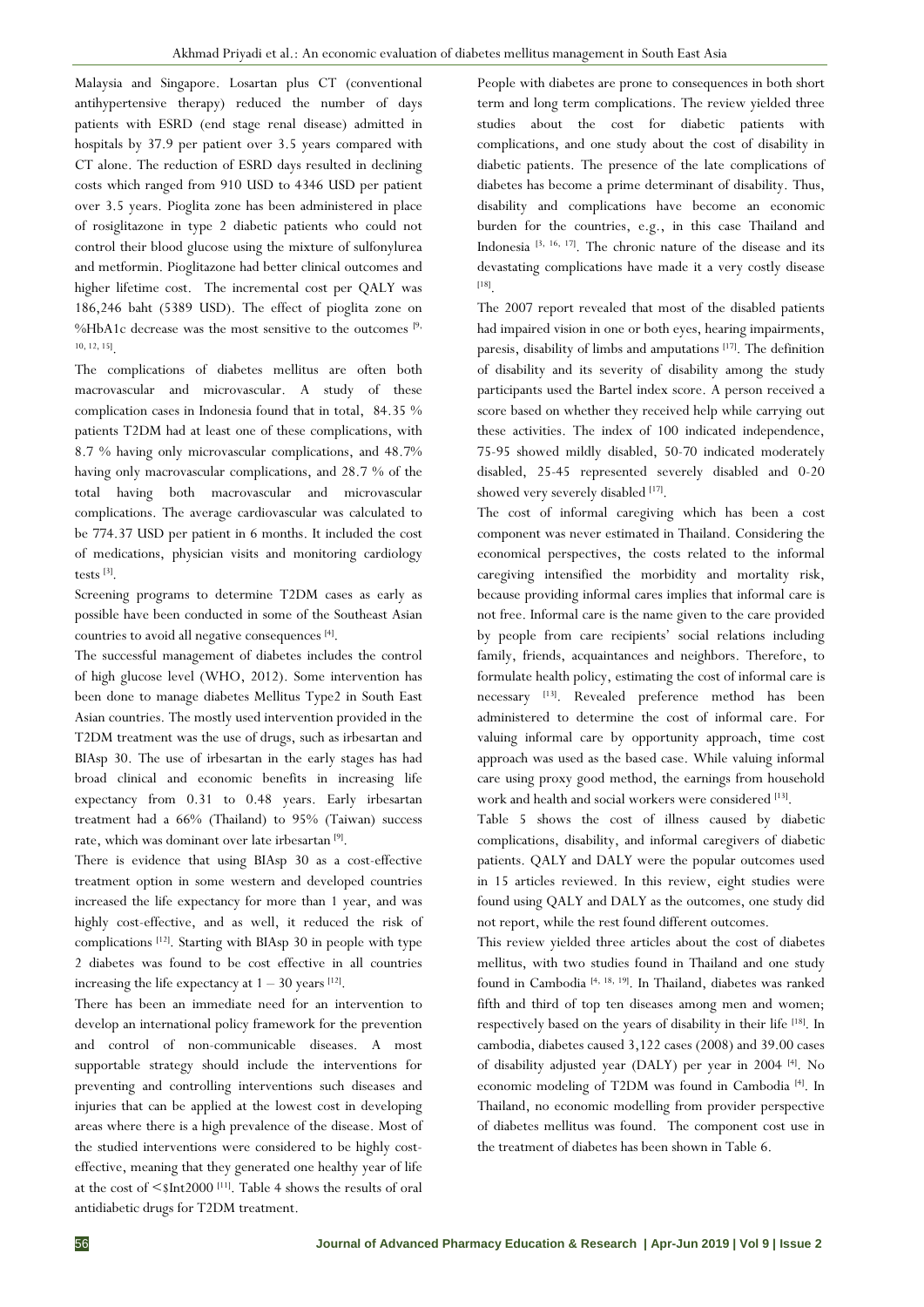Malaysia and Singapore. Losartan plus CT (conventional antihypertensive therapy) reduced the number of days patients with ESRD (end stage renal disease) admitted in hospitals by 37.9 per patient over 3.5 years compared with CT alone. The reduction of ESRD days resulted in declining costs which ranged from 910 USD to 4346 USD per patient over 3.5 years. Pioglita zone has been administered in place of rosiglitazone in type 2 diabetic patients who could not control their blood glucose using the mixture of sulfonylurea and metformin. Pioglitazone had better clinical outcomes and higher lifetime cost. The incremental cost per QALY was 186,246 baht (5389 USD). The effect of pioglita zone on %HbA1c decrease was the most sensitive to the outcomes  $[9, 8]$ 10, 12, 15] .

The complications of diabetes mellitus are often both macrovascular and microvascular. A study of these complication cases in Indonesia found that in total, 84.35 % patients T2DM had at least one of these complications, with 8.7 % having only microvascular complications, and 48.7% having only macrovascular complications, and 28.7 % of the total having both macrovascular and microvascular complications. The average cardiovascular was calculated to be 774.37 USD per patient in 6 months. It included the cost of medications, physician visits and monitoring cardiology tests [3] .

Screening programs to determine T2DM cases as early as possible have been conducted in some of the Southeast Asian countries to avoid all negative consequences [4].

The successful management of diabetes includes the control of high glucose level (WHO, 2012). Some intervention has been done to manage diabetes Mellitus Type2 in South East Asian countries. The mostly used intervention provided in the T2DM treatment was the use of drugs, such as irbesartan and BIAsp 30. The use of irbesartan in the early stages has had broad clinical and economic benefits in increasing life expectancy from 0.31 to 0.48 years. Early irbesartan treatment had a 66% (Thailand) to 95% (Taiwan) success rate, which was dominant over late irbesartan<sup>[9]</sup>.

There is evidence that using BIAsp 30 as a cost-effective treatment option in some western and developed countries increased the life expectancy for more than 1 year, and was highly cost-effective, and as well, it reduced the risk of complications [12] . Starting with BIAsp 30 in people with type 2 diabetes was found to be cost effective in all countries increasing the life expectancy at  $1 - 30$  years  $[12]$ .

There has been an immediate need for an intervention to develop an international policy framework for the prevention and control of non-communicable diseases. A most supportable strategy should include the interventions for preventing and controlling interventions such diseases and injuries that can be applied at the lowest cost in developing areas where there is a high prevalence of the disease. Most of the studied interventions were considered to be highly costeffective, meaning that they generated one healthy year of life at the cost of  $\leq$ \$Int2000<sup>[11]</sup>. Table 4 shows the results of oral antidiabetic drugs for T2DM treatment.

People with diabetes are prone to consequences in both short term and long term complications. The review yielded three studies about the cost for diabetic patients with complications, and one study about the cost of disability in diabetic patients. The presence of the late complications of diabetes has become a prime determinant of disability. Thus, disability and complications have become an economic burden for the countries, e.g., in this case Thailand and Indonesia [3, 16, 17] . The chronic nature of the disease and its devastating complications have made it a very costly disease [18] .

The 2007 report revealed that most of the disabled patients had impaired vision in one or both eyes, hearing impairments, paresis, disability of limbs and amputations<sup>[17]</sup>. The definition of disability and its severity of disability among the study participants used the Bartel index score. A person received a score based on whether they received help while carrying out these activities. The index of 100 indicated independence, 75-95 showed mildly disabled, 50-70 indicated moderately disabled, 25-45 represented severely disabled and 0-20 showed very severely disabled [17].

The cost of informal caregiving which has been a cost component was never estimated in Thailand. Considering the economical perspectives, the costs related to the informal caregiving intensified the morbidity and mortality risk, because providing informal cares implies that informal care is not free. Informal care is the name given to the care provided by people from care recipients' social relations including family, friends, acquaintances and neighbors. Therefore, to formulate health policy, estimating the cost of informal care is necessary [13] . Revealed preference method has been administered to determine the cost of informal care. For valuing informal care by opportunity approach, time cost approach was used as the based case. While valuing informal care using proxy good method, the earnings from household work and health and social workers were considered [13].

Table 5 shows the cost of illness caused by diabetic complications, disability, and informal caregivers of diabetic patients. QALY and DALY were the popular outcomes used in 15 articles reviewed. In this review, eight studies were found using QALY and DALY as the outcomes, one study did not report, while the rest found different outcomes.

This review yielded three articles about the cost of diabetes mellitus, with two studies found in Thailand and one study found in Cambodia<sup>[4, 18, 19]</sup>. In Thailand, diabetes was ranked fifth and third of top ten diseases among men and women; respectively based on the years of disability in their life [18]. In cambodia, diabetes caused 3,122 cases (2008) and 39.00 cases of disability adjusted year (DALY) per year in 2004 [4]. No economic modeling of T2DM was found in Cambodia [4]. In Thailand, no economic modelling from provider perspective of diabetes mellitus was found. The component cost use in the treatment of diabetes has been shown in Table 6.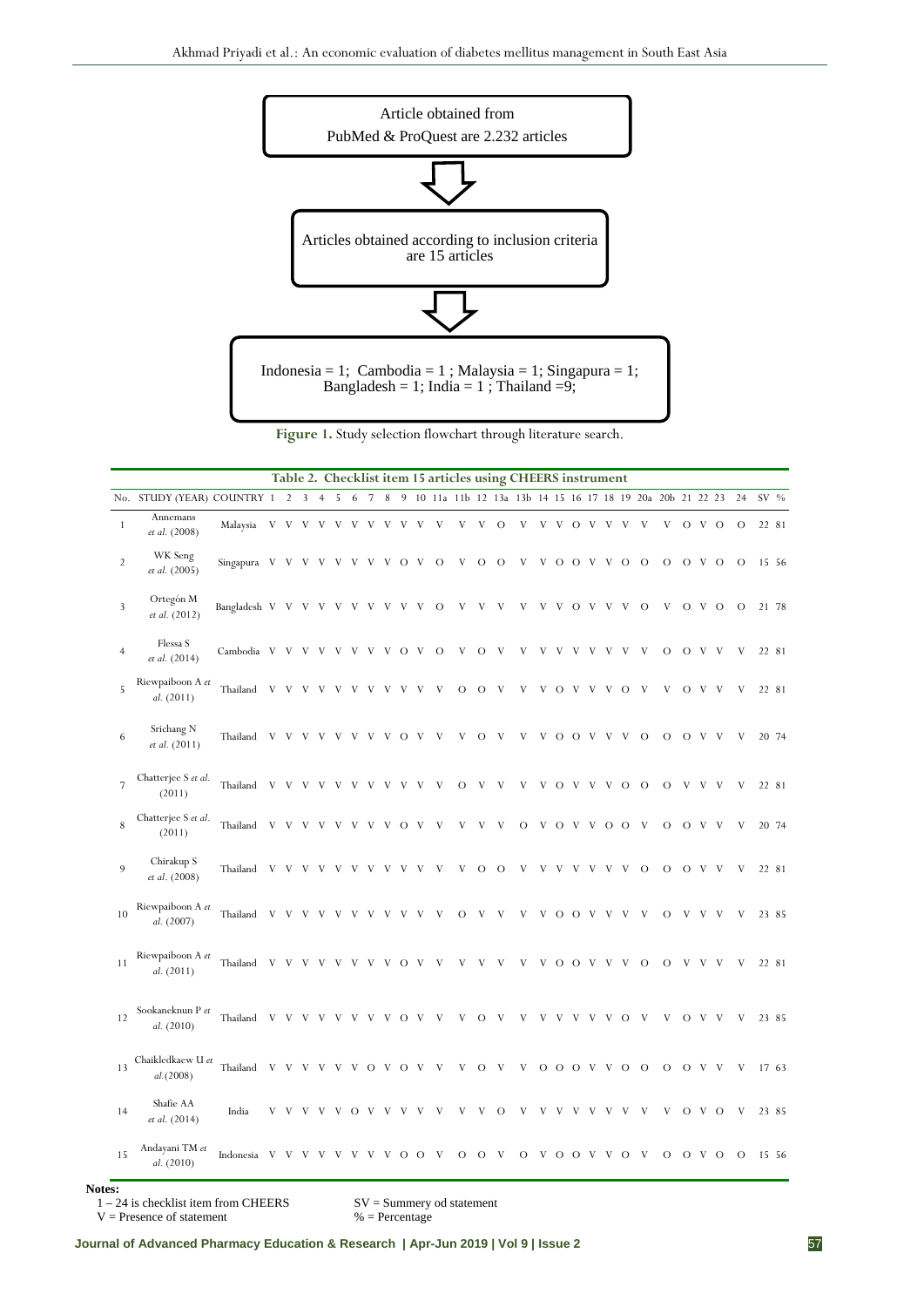

**Figure 1.** Study selection flowchart through literature search.

| Table 2. Checklist item 15 articles using CHEERS instrument |                                 |                  |              |                |                |                |     |                |                 |   |         |                |         |          |                           |                |         |         |          |         |                |     |          |          |                                                              |                |                |                |          |       |
|-------------------------------------------------------------|---------------------------------|------------------|--------------|----------------|----------------|----------------|-----|----------------|-----------------|---|---------|----------------|---------|----------|---------------------------|----------------|---------|---------|----------|---------|----------------|-----|----------|----------|--------------------------------------------------------------|----------------|----------------|----------------|----------|-------|
|                                                             | No. STUDY (YEAR) COUNTRY 1 2    |                  |              |                | $\overline{3}$ | $\overline{4}$ | 5   | 6              | $7\phantom{.0}$ |   |         |                |         |          |                           |                |         |         |          |         |                |     |          |          | 8 9 10 11a 11b 12 13a 13b 14 15 16 17 18 19 20a 20b 21 22 23 |                |                |                | 24       | SV %  |
| $\mathbf{1}$                                                | Annemans<br>et al. (2008)       | Malaysia         | $\mathbf V$  | V              | V              | $\mathbf V$    | V V |                | V               | V | V       | V              | V       | V        | $\ensuremath{\mathbf{V}}$ | $\overline{O}$ | V       | V       |          | V O V   |                | V   | V        | V        | V                                                            |                | O V O          |                | $\circ$  | 22 81 |
| $\overline{2}$                                              | WK Seng<br>et al. (2005)        | Singapura V      |              | V              | V              | V              | V   | V              | V               | V | $\circ$ | - V            | $\circ$ | V        | $\circ$                   | $\circ$        | V       | V       |          | O O V   |                | V   | $\circ$  | $\circ$  | $\circ$                                                      |                | $O$ V $O$      |                | $\Omega$ | 15 56 |
| $\overline{3}$                                              | Ortegón M<br>et al. (2012)      | Bangladesh V V V |              |                |                | V              | – V | V              | V               | V | V       | V              | $\circ$ | V        | V                         | V              | V       | V       | V        | $\circ$ | V              | V   | V        | $\Omega$ | V                                                            |                | O V O          |                | $\Omega$ | 21 78 |
| $\overline{4}$                                              | Flessa S<br>et al. (2014)       | Cambodia V V V V |              |                |                |                | V   | V              | V               | V | $\circ$ | V <sub>v</sub> | $\circ$ | V        | $\circ$                   | V              | V       | V       | V        | V       | V              | V   | V        | V        | О                                                            |                | O V V          |                | V        | 22 81 |
| 5                                                           | Riewpaiboon A et<br>al. (2011)  | Thailand         |              | V V V          |                | V              | V   | V              | V               | V | V       | V              | V       | $\Omega$ | $\circ$                   | V              | V       | V       | $\circ$  | V       | V              | V   | $\circ$  | V        | V                                                            |                | O <sub>V</sub> | V              | V        | 22 81 |
| 6                                                           | Srichang N<br>et al. (2011)     | Thailand         | V            | V              | V              | V              |     | V              | V               | V | О       | V              | V       | V        | $\Omega$                  | V              |         | V       | $\circ$  | $\circ$ | - V            | V   | V        | $\circ$  | $\circ$                                                      |                | $O$ V          | – V            | V        | 20 74 |
| 7                                                           | Chatterjee S et al.<br>(2011)   | Thailand         |              | V V            | V              | V              | V   | V              | V               | V | V       | V              | V       | О        | V                         | V              | V       | V       |          | O V     | V              | V   | $\circ$  | $\circ$  | О                                                            | V              | – V            | - V            | V        | 22 81 |
| 8                                                           | Chatterjee S et al.<br>(2011)   | Thailand         | V            | V <sub>V</sub> | V              | V              | V   | V              | V               | V | $\circ$ | V              | V       | V        | V                         | V              | $\circ$ | V       | $\circ$  | V       | V <sub>v</sub> |     | $O$ O    | V        | $\circ$                                                      | $\circ$        | - V            | V              | V        | 20 74 |
| 9                                                           | Chirakup S<br>et al. (2008)     | Thailand         | V            | V              | V              | V              | V   | V              | V               | V | V       | V              | V       | V        | О                         | $\circ$        | V       | V       | V        | v       | V              | V   | V        | $\circ$  | $\circ$                                                      | $\circ$        | - V            | V <sub>v</sub> | V        | 22 81 |
| 10                                                          | Riewpaiboon A et<br>al. (2007)  | Thailand         | V            | V              | V              | V              | V   | V              | V               | V | V       | V              | V       | О        | V                         | V              | V       | V       |          | $O$ O   | - V            | V   | V        | V        | О                                                            | V              | V              | V              | V        | 23 85 |
| 11                                                          | Riewpaiboon A et<br>al. (2011)  | Thailand         | V            | V              | V              | V              | V   | V              | V               | V | O       | V              | V       | V        | V                         | V              | V       | V       | $\Omega$ | $\circ$ | V              | V   | V        | $\Omega$ | $\Omega$                                                     | V              | V              | V              | V        | 22 81 |
| 12                                                          | Sookaneknun P et<br>al. (2010)  | Thailand         | $\mathbf{V}$ | V <sub>v</sub> | V              | V              | V   | V              | V               | V | $\circ$ | - V            | V       | V        | $\circ$                   | V              | V       | V       | V        | V       | V              | V   | $\circ$  | V        | V                                                            | O <sub>V</sub> |                | V              | V        | 23 85 |
| 13                                                          | Chaikledkaew U et<br>al. (2008) | Thailand         | V            | V              | V              | V              | V   | V              | $\circ$         | V | $\circ$ | - V            | V       | V        | $\circ$                   | V              | V       | $\circ$ |          | $O$ O   | V <sub>V</sub> | - V | $\circ$  | $\circ$  | $\circ$                                                      | $\circ$        | V <sub>v</sub> | V              | V        | 17 63 |
| 14                                                          | Shafie AA<br>et al. (2014)      | India            | V            | V              | V              |                | V V | $\overline{O}$ | V               | V | V       | V              | V       | V        | V                         | $\circ$        | V       | V       | V        | V       | V              | V   | V        | V        | V                                                            |                | O V O          |                | V        | 23 85 |
| 15                                                          | Andayani TM et<br>al. (2010)    | Indonesia        | V            |                |                |                |     |                |                 |   | О       | О              |         | $\Omega$ | О                         | V              | $\circ$ | V       | $\circ$  | $\circ$ | - V            | V   | $\Omega$ | V        | $\Omega$                                                     | $\Omega$       | V              | $\Omega$       | $\Omega$ | 15 56 |

**Notes:** 

 $V =$ Presence of statement

1 – 24 is checklist item from CHEERS SV = Summery od statement<br>V = Presence of statement % = Percentage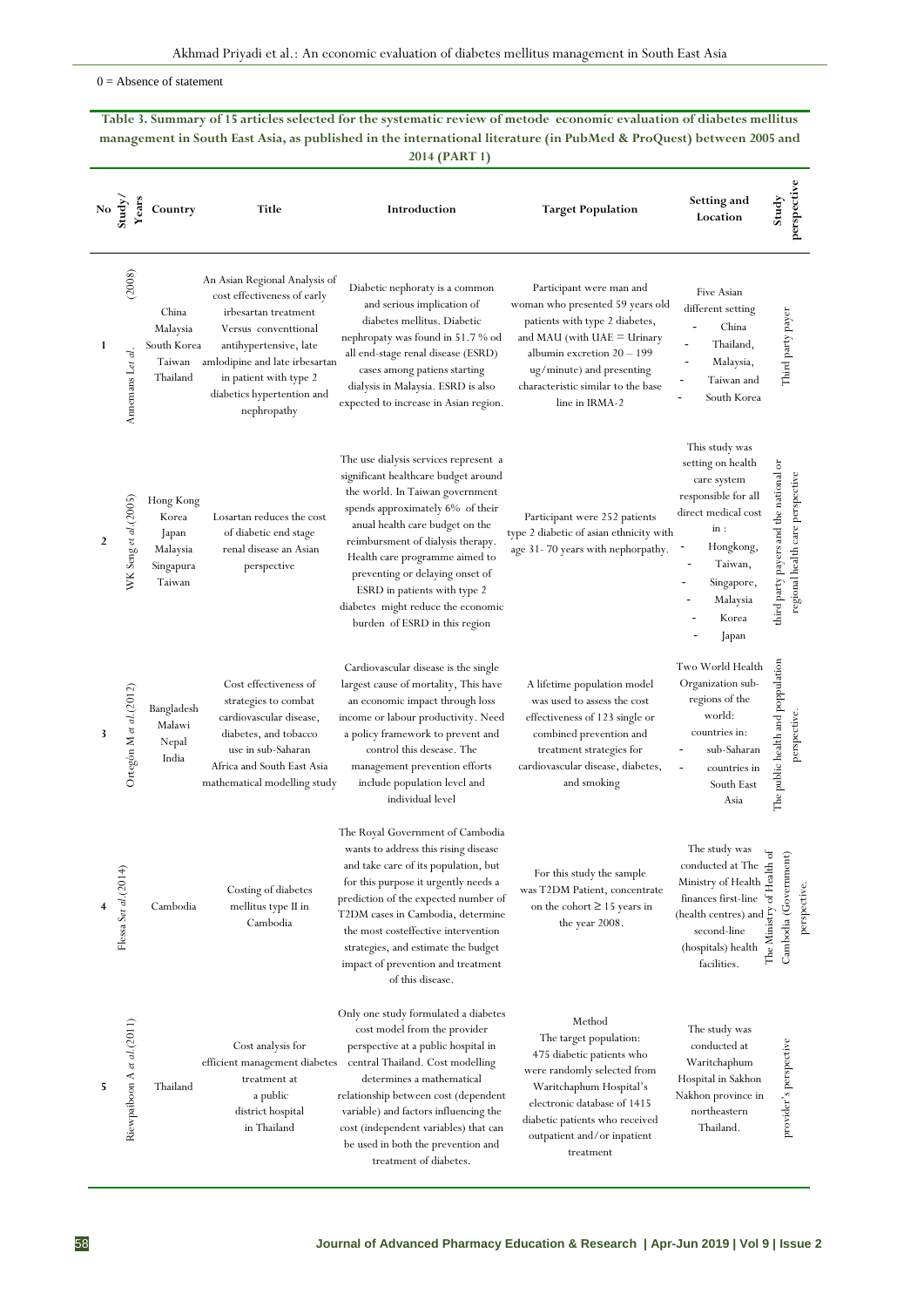$0 =$  Absence of statement

**Table 3. Summary of 15 articles selected for the systematic review of metode economic evaluation of diabetes mellitus management in South East Asia, as published in the international literature (in PubMed & ProQuest) between 2005 and 2014 (PART 1)**

| No $\frac{1}{2}$ | Years                       | Country                                                        | Title                                                                                                                                                                                                                                           | Introduction                                                                                                                                                                                                                                                                                                                                                                                             | <b>Target Population</b>                                                                                                                                                                                                                             | Setting and<br>Location                                                                                                                                                                                                                                                                                                                  | perspective<br>Study                                                       |
|------------------|-----------------------------|----------------------------------------------------------------|-------------------------------------------------------------------------------------------------------------------------------------------------------------------------------------------------------------------------------------------------|----------------------------------------------------------------------------------------------------------------------------------------------------------------------------------------------------------------------------------------------------------------------------------------------------------------------------------------------------------------------------------------------------------|------------------------------------------------------------------------------------------------------------------------------------------------------------------------------------------------------------------------------------------------------|------------------------------------------------------------------------------------------------------------------------------------------------------------------------------------------------------------------------------------------------------------------------------------------------------------------------------------------|----------------------------------------------------------------------------|
| 1                | (2008)<br>Annemans Let al.  | China<br>Malaysia<br>South Korea<br>Taiwan<br>Thailand         | An Asian Regional Analysis of<br>cost effectiveness of early<br>irbesartan treatment<br>Versus conventtional<br>antihypertensive, late<br>amlodipine and late irbesartan<br>in patient with type 2<br>diabetics hypertention and<br>nephropathy | Diabetic nephoraty is a common<br>and serious implication of<br>diabetes mellitus. Diabetic<br>nephropaty was found in 51.7 % od<br>all end-stage renal disease (ESRD)<br>cases among patiens starting<br>dialysis in Malaysia. ESRD is also<br>expected to increase in Asian region.                                                                                                                    | Participant were man and<br>woman who presented 59 years old<br>patients with type 2 diabetes,<br>and MAU (with $UAE = Urinary$<br>albumin excretion $20 - 199$<br>ug/minute) and presenting<br>characteristic similar to the base<br>line in IRMA-2 | Five Asian<br>different setting<br>China<br>Thailand,<br>Malaysia,<br>Taiwan and<br>South Korea                                                                                                                                                                                                                                          | Third party payer                                                          |
| $\overline{2}$   | WK Seng et al. (2005)       | Hong Kong<br>Korea<br>Japan<br>Malaysia<br>Singapura<br>Taiwan | Losartan reduces the cost<br>of diabetic end stage<br>renal disease an Asian<br>perspective                                                                                                                                                     | The use dialysis services represent a<br>significant healthcare budget around<br>the world. In Taiwan government<br>spends approximately 6% of their<br>anual health care budget on the<br>reimbursment of dialysis therapy.<br>Health care programme aimed to<br>preventing or delaying onset of<br>ESRD in patients with type 2<br>diabetes might reduce the economic<br>burden of ESRD in this region | Participant were 252 patients<br>type 2 diabetic of asian ethnicity with<br>age 31-70 years with nephorpathy.                                                                                                                                        | This study was<br>setting on health<br>care system<br>responsible for all<br>direct medical cost<br>in:<br>Hongkong,<br>÷<br>Taiwan,<br>Singapore,<br>Malaysia<br>Korea<br>Japan                                                                                                                                                         | third party payers and the national or<br>regional health care perspective |
| 3                | Ortegón M et al. (2012)     | Bangladesh<br>Malawi<br>Nepal<br>India                         | Cost effectiveness of<br>strategies to combat<br>cardiovascular disease,<br>diabetes, and tobacco<br>use in sub-Saharan<br>Africa and South East Asia<br>mathematical modelling study                                                           | Cardiovascular disease is the single<br>largest cause of mortality, This have<br>an economic impact through loss<br>income or labour productivity. Need<br>a policy framework to prevent and<br>control this desease. The<br>management prevention efforts<br>include population level and<br>individual level                                                                                           | A lifetime population model<br>was used to assess the cost<br>effectiveness of 123 single or<br>combined prevention and<br>treatment strategies for<br>cardiovascular disease, diabetes,<br>and smoking                                              | Two World Health<br>Organization sub-<br>regions of the<br>world:<br>countries in:<br>sub-Saharan<br>$\frac{1}{2}$<br>countries in<br>South East<br>Asia                                                                                                                                                                                 | The public health and poppulation<br>perspective                           |
|                  | Flessa Set al. (2014        | Cambodia                                                       | Costing of diabetes<br>mellitus type II in<br>Cambodia                                                                                                                                                                                          | The Royal Government of Cambodia<br>wants to address this rising disease<br>and take care of its population, but<br>for this purpose it urgently needs a<br>prediction of the expected number of<br>T2DM cases in Cambodia, determine<br>the most costeffective intervention<br>strategies, and estimate the budget<br>impact of prevention and treatment<br>of this disease.                            | For this study the sample<br>was T2DM Patient, concentrate<br>on the cohort $\geq$ 15 years in<br>the year 2008.                                                                                                                                     | The study was<br>conducted at The $\epsilon$<br>$\begin{array}{c} \text{Ministry of Health} \begin{tabular}{l} \hline \texttt{d} \\ \texttt{m} \\ \texttt{finances first-line} \end{tabular} \end{array}$<br>(health centres) and $\sum_{i=1}^{n}$<br>second-line $\sum_{i=1}^{n}$<br>(hospitals) health $\sum_{i=1}^{n}$<br>facilities. | $\mathfrak{b}$<br>$\sin$<br>Cambodia (Governm<br>perspective.              |
| 5                | Riewpalboon A et al. (2011) | Thailand                                                       | Cost analysis for<br>efficient management diabetes<br>treatment at<br>a public<br>district hospital<br>in Thailand                                                                                                                              | Only one study formulated a diabetes<br>cost model from the provider<br>perspective at a public hospital in<br>central Thailand. Cost modelling<br>determines a mathematical<br>relationship between cost (dependent<br>variable) and factors influencing the<br>cost (independent variables) that can<br>be used in both the prevention and<br>treatment of diabetes.                                   | Method<br>The target population:<br>475 diabetic patients who<br>were randomly selected from<br>Waritchaphum Hospital's<br>electronic database of 1415<br>diabetic patients who received<br>outpatient and/or inpatient<br>treatment                 | The study was<br>conducted at<br>Waritchaphum<br>Hospital in Sakhon<br>Nakhon province in<br>northeastern<br>Thailand.                                                                                                                                                                                                                   | provider's perspective                                                     |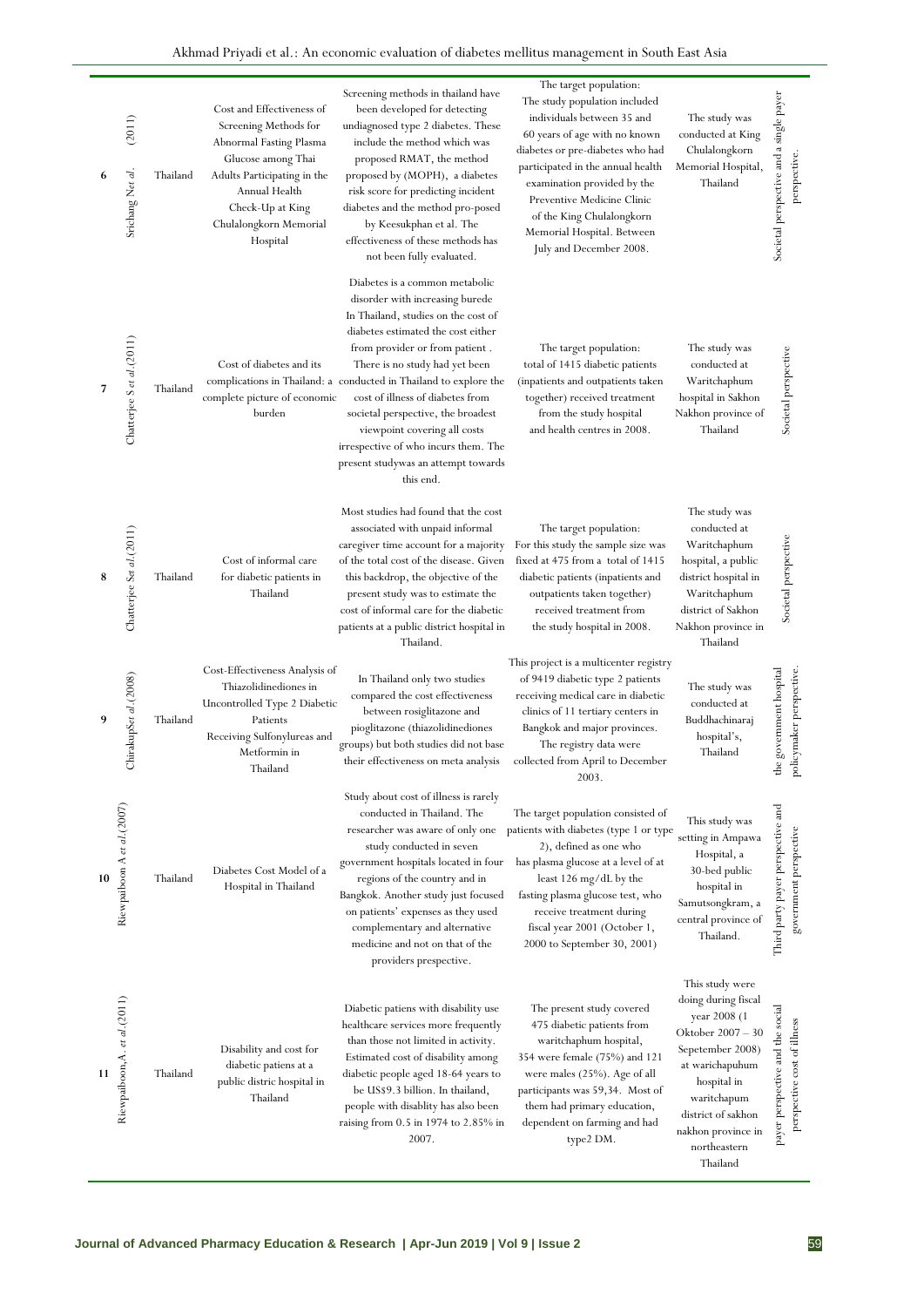| 6  | (2011)<br>Srichang Net al.    | Thailand | Cost and Effectiveness of<br>Screening Methods for<br>Abnormal Fasting Plasma<br>Glucose among Thai<br>Adults Participating in the<br>Annual Health<br>Check-Up at King<br>Chulalongkorn Memorial<br>Hospital | Screening methods in thailand have<br>been developed for detecting<br>undiagnosed type 2 diabetes. These<br>include the method which was<br>proposed RMAT, the method<br>proposed by (MOPH), a diabetes<br>risk score for predicting incident<br>diabetes and the method pro-posed<br>by Keesukphan et al. The<br>effectiveness of these methods has<br>not been fully evaluated.                                                                                                             | The target population:<br>The study population included<br>individuals between 35 and<br>60 years of age with no known<br>diabetes or pre-diabetes who had<br>participated in the annual health<br>examination provided by the<br>Preventive Medicine Clinic<br>of the King Chulalongkorn<br>Memorial Hospital. Between<br>July and December 2008. | The study was<br>conducted at King<br>Chulalongkorn<br>Memorial Hospital,<br>Thailand                                                                                                                                    | Societal perspective and a single payer<br>perspective.         |
|----|-------------------------------|----------|---------------------------------------------------------------------------------------------------------------------------------------------------------------------------------------------------------------|-----------------------------------------------------------------------------------------------------------------------------------------------------------------------------------------------------------------------------------------------------------------------------------------------------------------------------------------------------------------------------------------------------------------------------------------------------------------------------------------------|----------------------------------------------------------------------------------------------------------------------------------------------------------------------------------------------------------------------------------------------------------------------------------------------------------------------------------------------------|--------------------------------------------------------------------------------------------------------------------------------------------------------------------------------------------------------------------------|-----------------------------------------------------------------|
| 7  | Chatterjee S et al.(2011)     | Thailand | Cost of diabetes and its<br>complete picture of economic<br>burden                                                                                                                                            | Diabetes is a common metabolic<br>disorder with increasing burede<br>In Thailand, studies on the cost of<br>diabetes estimated the cost either<br>from provider or from patient.<br>There is no study had yet been<br>complications in Thailand: a conducted in Thailand to explore the<br>cost of illness of diabetes from<br>societal perspective, the broadest<br>viewpoint covering all costs<br>irrespective of who incurs them. The<br>present studywas an attempt towards<br>this end. | The target population:<br>total of 1415 diabetic patients<br>(inpatients and outpatients taken<br>together) received treatment<br>from the study hospital<br>and health centres in 2008.                                                                                                                                                           | The study was<br>conducted at<br>Waritchaphum<br>hospital in Sakhon<br>Nakhon province of<br>Thailand                                                                                                                    | Societal perspective                                            |
| 8  | Chatterjee Set al.(2011)      | Thailand | Cost of informal care<br>for diabetic patients in<br>Thailand                                                                                                                                                 | Most studies had found that the cost<br>associated with unpaid informal<br>caregiver time account for a majority<br>of the total cost of the disease. Given<br>this backdrop, the objective of the<br>present study was to estimate the<br>cost of informal care for the diabetic<br>patients at a public district hospital in<br>Thailand.                                                                                                                                                   | The target population:<br>For this study the sample size was<br>fixed at 475 from a total of 1415<br>diabetic patients (inpatients and<br>outpatients taken together)<br>received treatment from<br>the study hospital in 2008.                                                                                                                    | The study was<br>conducted at<br>Waritchaphum<br>hospital, a public<br>district hospital in<br>Waritchaphum<br>district of Sakhon<br>Nakhon province in<br>Thailand                                                      | Societal perspective                                            |
| 9  | ChirakupSet al.(2008)         | Thailand | Cost-Effectiveness Analysis of<br>Thiazolidinediones in<br>Uncontrolled Type 2 Diabetic<br>Patients<br>Receiving Sulfonylureas and<br>Metformin in<br>Thailand                                                | In Thailand only two studies<br>compared the cost effectiveness<br>between rosiglitazone and<br>pioglitazone (thiazolidinediones<br>groups) but both studies did not base<br>their effectiveness on meta analysis                                                                                                                                                                                                                                                                             | This project is a multicenter registry<br>of 9419 diabetic type 2 patients<br>receiving medical care in diabetic<br>clinics of 11 tertiary centers in<br>Bangkok and major provinces.<br>The registry data were<br>collected from April to December<br>2003.                                                                                       | The study was<br>conducted at<br>Buddhachinaraj<br>hospital's,<br>Thailand                                                                                                                                               | government hospital<br>cymaker perspective<br>pd<br>€           |
| 10 | Riewpaiboon A et al.(2007)    | Thailand | Diabetes Cost Model of a<br>Hospital in Thailand                                                                                                                                                              | Study about cost of illness is rarely<br>conducted in Thailand. The<br>researcher was aware of only one<br>study conducted in seven<br>government hospitals located in four<br>regions of the country and in<br>Bangkok. Another study just focused<br>on patients' expenses as they used<br>complementary and alternative<br>medicine and not on that of the<br>providers prespective.                                                                                                       | The target population consisted of<br>patients with diabetes (type 1 or type<br>2), defined as one who<br>has plasma glucose at a level of at<br>least 126 mg/dL by the<br>fasting plasma glucose test, who<br>receive treatment during<br>fiscal year 2001 (October 1,<br>2000 to September 30, 2001)                                             | This study was<br>setting in Ampawa<br>Hospital, a<br>30-bed public<br>hospital in<br>Samutsongkram, a<br>central province of<br>Thailand.                                                                               | Third party payer perspective and<br>government perspective     |
| 11 | Riewpaiboon, A. et al. (2011) | Thailand | Disability and cost for<br>diabetic patiens at a<br>public distric hospital in<br>Thailand                                                                                                                    | Diabetic patiens with disability use<br>healthcare services more frequently<br>than those not limited in activity.<br>Estimated cost of disability among<br>diabetic people aged 18-64 years to<br>be US\$9.3 billion. In thailand,<br>people with disablity has also been<br>raising from 0.5 in 1974 to 2.85% in<br>2007.                                                                                                                                                                   | The present study covered<br>475 diabetic patients from<br>waritchaphum hospital,<br>354 were female (75%) and 121<br>were males (25%). Age of all<br>participants was 59,34. Most of<br>them had primary education,<br>dependent on farming and had<br>type2 DM.                                                                                  | This study were<br>doing during fiscal<br>year 2008 (1<br>Oktober 2007 - 30<br>Sepetember 2008)<br>at warichapuhum<br>hospital in<br>waritchapum<br>district of sakhon<br>nakhon province in<br>northeastern<br>Thailand | payer perspective and the social<br>perspective cost of illness |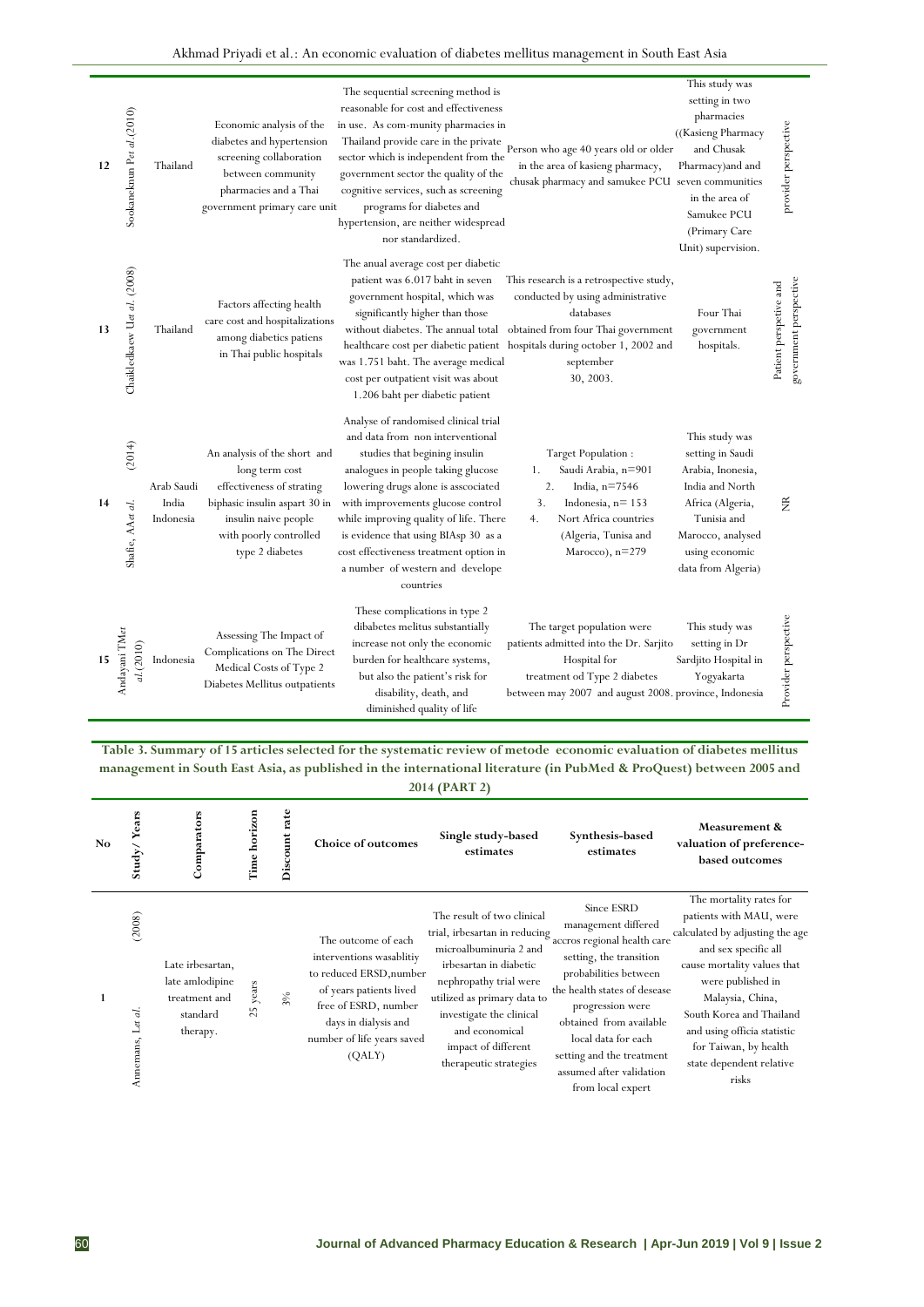| Akhmad Privadi et al.: An economic evaluation of diabetes mellitus management in South East Asia |  |  |  |
|--------------------------------------------------------------------------------------------------|--|--|--|
|--------------------------------------------------------------------------------------------------|--|--|--|

| 12     | Sookaneknun Pet al.(2010)   | Thailand                         | Economic analysis of the<br>diabetes and hypertension<br>screening collaboration<br>between community<br>pharmacies and a Thai<br>government primary care unit                    | The sequential screening method is<br>reasonable for cost and effectiveness<br>in use. As com-munity pharmacies in<br>Thailand provide care in the private<br>sector which is independent from the<br>government sector the quality of the<br>cognitive services, such as screening<br>programs for diabetes and<br>hypertension, are neither widespread<br>nor standardized.                            | Person who age 40 years old or older<br>in the area of kasieng pharmacy,<br>chusak pharmacy and samukee PCU seven communities                                                                                                          | This study was<br>setting in two<br>pharmacies<br>((Kasieng Pharmacy<br>and Chusak<br>Pharmacy) and and<br>in the area of<br>Samukee PCU<br>(Primary Care<br>Unit) supervision. | provider perspective                             |
|--------|-----------------------------|----------------------------------|-----------------------------------------------------------------------------------------------------------------------------------------------------------------------------------|----------------------------------------------------------------------------------------------------------------------------------------------------------------------------------------------------------------------------------------------------------------------------------------------------------------------------------------------------------------------------------------------------------|----------------------------------------------------------------------------------------------------------------------------------------------------------------------------------------------------------------------------------------|---------------------------------------------------------------------------------------------------------------------------------------------------------------------------------|--------------------------------------------------|
| 13     | Chaikledkaew Uet al. (2008) | Thailand                         | Factors affecting health<br>care cost and hospitalizations<br>among diabetics patiens<br>in Thai public hospitals                                                                 | The anual average cost per diabetic<br>patient was 6.017 baht in seven<br>government hospital, which was<br>significantly higher than those<br>without diabetes. The annual total<br>was 1.751 baht. The average medical<br>cost per outpatient visit was about<br>1.206 baht per diabetic patient                                                                                                       | This research is a retrospective study,<br>conducted by using administrative<br>databases<br>obtained from four Thai government<br>healthcare cost per diabetic patient hospitals during october 1, 2002 and<br>september<br>30, 2003. | Four Thai<br>government<br>hospitals.                                                                                                                                           | government perspective<br>Patient perspetive and |
| 14     | (2014)<br>Shafie, AAet al.  | Arab Saudi<br>India<br>Indonesia | An analysis of the short and<br>long term cost<br>effectiveness of strating<br>biphasic insulin aspart 30 in<br>insulin naive people<br>with poorly controlled<br>type 2 diabetes | Analyse of randomised clinical trial<br>and data from non interventional<br>studies that begining insulin<br>analogues in people taking glucose<br>lowering drugs alone is asscociated<br>with improvements glucose control<br>while improving quality of life. There<br>is evidence that using BIAsp 30 as a<br>cost effectiveness treatment option in<br>a number of western and develope<br>countries | Target Population :<br>Saudi Arabia, n=901<br>1.<br>2.<br>India, $n=7546$<br>3.<br>Indonesia, $n = 153$<br>Nort Africa countries<br>4.<br>(Algeria, Tunisa and<br>Marocco), $n=279$                                                    | This study was<br>setting in Saudi<br>Arabia, Inonesia,<br>India and North<br>Africa (Algeria,<br>Tunisia and<br>Marocco, analysed<br>using economic<br>data from Algeria)      | ã                                                |
| $15\,$ | Andayani TMet<br>al.(2010)  | Indonesia                        | Assessing The Impact of<br>Complications on The Direct<br>Medical Costs of Type 2<br>Diabetes Mellitus outpatients                                                                | These complications in type 2<br>dibabetes melitus substantially<br>increase not only the economic<br>burden for healthcare systems,<br>but also the patient's risk for<br>disability, death, and<br>diminished quality of life                                                                                                                                                                          | The target population were<br>patients admitted into the Dr. Sarjito<br>Hospital for<br>treatment od Type 2 diabetes<br>between may 2007 and august 2008. province, Indonesia                                                          | This study was<br>setting in Dr<br>Sardjito Hospital in<br>Yogyakarta                                                                                                           | Provider perspective                             |

**Table 3. Summary of 15 articles selected for the systematic review of metode economic evaluation of diabetes mellitus management in South East Asia, as published in the international literature (in PubMed & ProQuest) between 2005 and 2014 (PART 2)**

| No. | Years<br>${\rm Study}/$     | Comparators                                                                  | Time horizon | Discount rate | <b>Choice of outcomes</b>                                                                                                                                                                     | Single study-based<br>estimates                                                                                                                                                                                                                                         | Synthesis-based<br>estimates                                                                                                                                                                                                                                                                             | Measurement &<br>valuation of preference-<br>based outcomes                                                                                                                                                                                                                                                    |
|-----|-----------------------------|------------------------------------------------------------------------------|--------------|---------------|-----------------------------------------------------------------------------------------------------------------------------------------------------------------------------------------------|-------------------------------------------------------------------------------------------------------------------------------------------------------------------------------------------------------------------------------------------------------------------------|----------------------------------------------------------------------------------------------------------------------------------------------------------------------------------------------------------------------------------------------------------------------------------------------------------|----------------------------------------------------------------------------------------------------------------------------------------------------------------------------------------------------------------------------------------------------------------------------------------------------------------|
|     | (2008)<br>Annemans, Let al. | Late irbesartan,<br>late amlodipine<br>treatment and<br>standard<br>therapy. | years<br>25  | 3%            | The outcome of each<br>interventions wasablitiy<br>to reduced ERSD, number<br>of years patients lived<br>free of ESRD, number<br>days in dialysis and<br>number of life years saved<br>(QALY) | The result of two clinical<br>trial, irbesartan in reducing<br>microalbuminuria 2 and<br>irbesartan in diabetic<br>nephropathy trial were<br>utilized as primary data to<br>investigate the clinical<br>and economical<br>impact of different<br>therapeutic strategies | Since ESRD<br>management differed<br>accros regional health care<br>setting, the transition<br>probabilities between<br>the health states of desease<br>progression were<br>obtained from available<br>local data for each<br>setting and the treatment<br>assumed after validation<br>from local expert | The mortality rates for<br>patients with MAU, were<br>calculated by adjusting the age<br>and sex specific all<br>cause mortality values that<br>were published in<br>Malaysia, China,<br>South Korea and Thailand<br>and using officia statistic<br>for Taiwan, by health<br>state dependent relative<br>risks |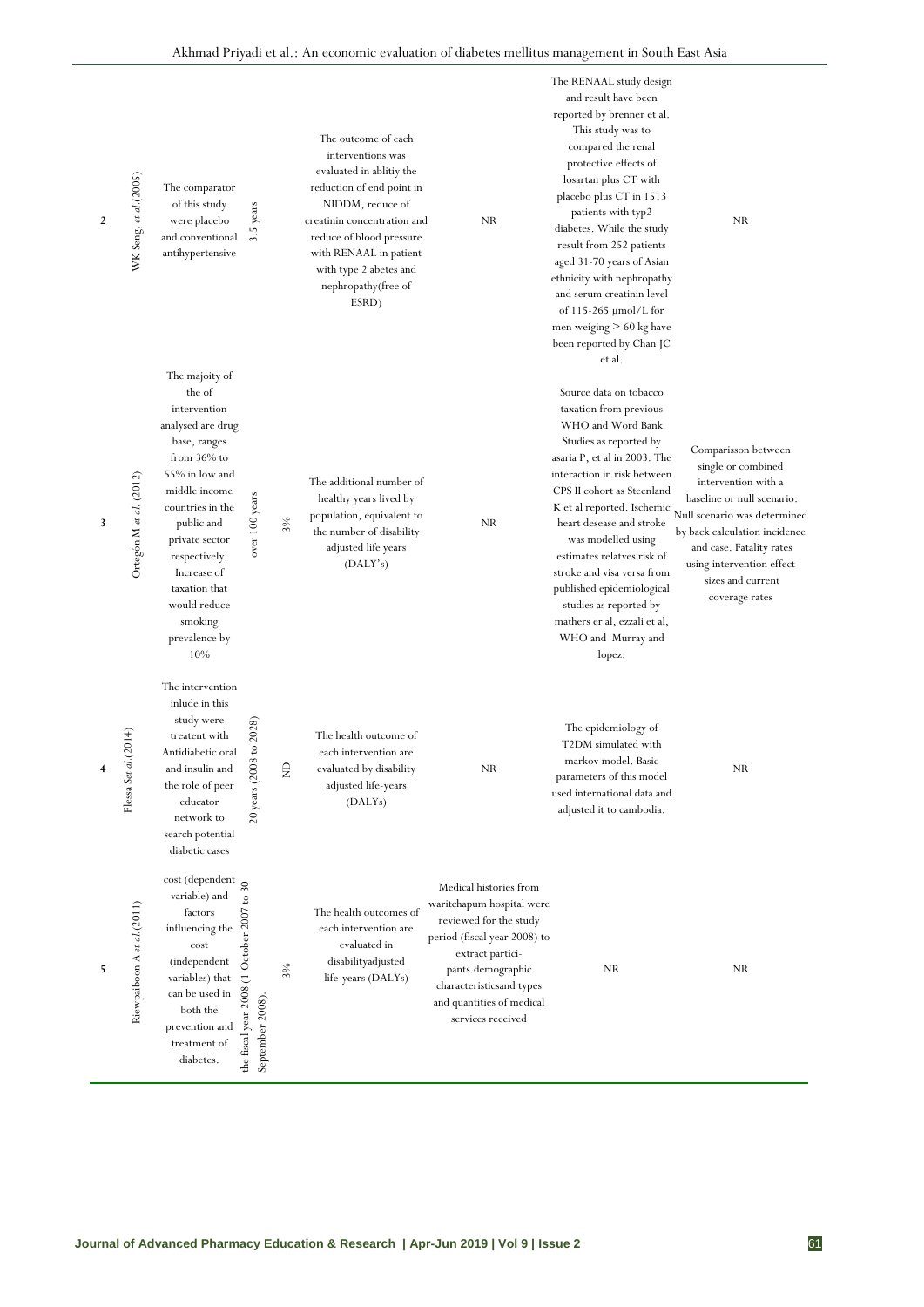| $\overline{2}$ | WK Seng, et al. (2005)      | The comparator<br>of this study<br>were placebo<br>and conventional<br>antihypertensive                                                                                                                                                                                                    | 3.5 years                                                  |        | The outcome of each<br>interventions was<br>evaluated in ablitiy the<br>reduction of end point in<br>NIDDM, reduce of<br>creatinin concentration and<br>reduce of blood pressure<br>with RENAAL in patient<br>with type 2 abetes and<br>nephropathy(free of<br>ESRD) | NR                                                                                                                                                                                                                                   | The RENAAL study design<br>and result have been<br>reported by brenner et al.<br>This study was to<br>compared the renal<br>protective effects of<br>losartan plus CT with<br>placebo plus CT in 1513<br>patients with typ2<br>diabetes. While the study<br>result from 252 patients<br>aged 31-70 years of Asian<br>ethnicity with nephropathy<br>and serum creatinin level<br>of $115-265 \mu$ mol/L for<br>men weiging $> 60$ kg have<br>been reported by Chan JC<br>et al. | NR.                                                                                                                                                                                                                                                             |
|----------------|-----------------------------|--------------------------------------------------------------------------------------------------------------------------------------------------------------------------------------------------------------------------------------------------------------------------------------------|------------------------------------------------------------|--------|----------------------------------------------------------------------------------------------------------------------------------------------------------------------------------------------------------------------------------------------------------------------|--------------------------------------------------------------------------------------------------------------------------------------------------------------------------------------------------------------------------------------|--------------------------------------------------------------------------------------------------------------------------------------------------------------------------------------------------------------------------------------------------------------------------------------------------------------------------------------------------------------------------------------------------------------------------------------------------------------------------------|-----------------------------------------------------------------------------------------------------------------------------------------------------------------------------------------------------------------------------------------------------------------|
| 3              | Ortegón M et al. (2012)     | The majoity of<br>the of<br>intervention<br>analysed are drug<br>base, ranges<br>from $36\%$ to<br>55% in low and<br>middle income<br>countries in the<br>public and<br>private sector<br>respectively.<br>Increase of<br>taxation that<br>would reduce<br>smoking<br>prevalence by<br>10% | over 100 years                                             | $3\%$  | The additional number of<br>healthy years lived by<br>population, equivalent to<br>the number of disability<br>adjusted life years<br>(DALY's)                                                                                                                       | NR                                                                                                                                                                                                                                   | Source data on tobacco<br>taxation from previous<br>WHO and Word Bank<br>Studies as reported by<br>asaria P, et al in 2003. The<br>interaction in risk between<br>CPS II cohort as Steenland<br>K et al reported. Ischemic<br>heart desease and stroke<br>was modelled using<br>estimates relatves risk of<br>stroke and visa versa from<br>published epidemiological<br>studies as reported by<br>mathers er al, ezzali et al,<br>WHO and Murray and<br>lopez.                | Comparisson between<br>single or combined<br>intervention with a<br>baseline or null scenario.<br>Null scenario was determined<br>by back calculation incidence<br>and case. Fatality rates<br>using intervention effect<br>sizes and current<br>coverage rates |
|                | d. (2014)<br>Flessa Set     | The intervention<br>inlude in this<br>study were<br>treatent with<br>Antidiabetic oral<br>and insulin and<br>the role of peer<br>educator<br>network to<br>search potential<br>diabetic cases                                                                                              | 008 to 2028<br>$20$ years ( $20$                           | ≏<br>z | The health outcome of<br>each intervention are<br>evaluated by disability<br>adjusted life-years<br>(DALYs)                                                                                                                                                          | NR                                                                                                                                                                                                                                   | The epidemiology of<br>T2DM simulated with<br>markov model. Basic<br>parameters of this model<br>used international data and<br>adjusted it to cambodia.                                                                                                                                                                                                                                                                                                                       | NR                                                                                                                                                                                                                                                              |
| 5              | Riewpaiboon A et al. (2011) | $\cos t$ (dependent $\sum_{n=1}^{\infty}$<br>variable) and<br>factors<br>influencing the<br>cost<br>(independent<br>variables) that<br>$\operatorname*{can}$ be used in<br>both the<br>prevention and<br>treatment of<br>diabetes.                                                         | the fiscal year 2008 (1 October 2007 to<br>September 2008) | 3%     | The health outcomes of<br>each intervention are<br>evaluated in<br>disabilityadjusted<br>life-years (DALYs)                                                                                                                                                          | Medical histories from<br>waritchapum hospital were<br>reviewed for the study<br>period (fiscal year 2008) to<br>extract partici-<br>pants.demographic<br>characteristicsand types<br>and quantities of medical<br>services received | NR.                                                                                                                                                                                                                                                                                                                                                                                                                                                                            | NR                                                                                                                                                                                                                                                              |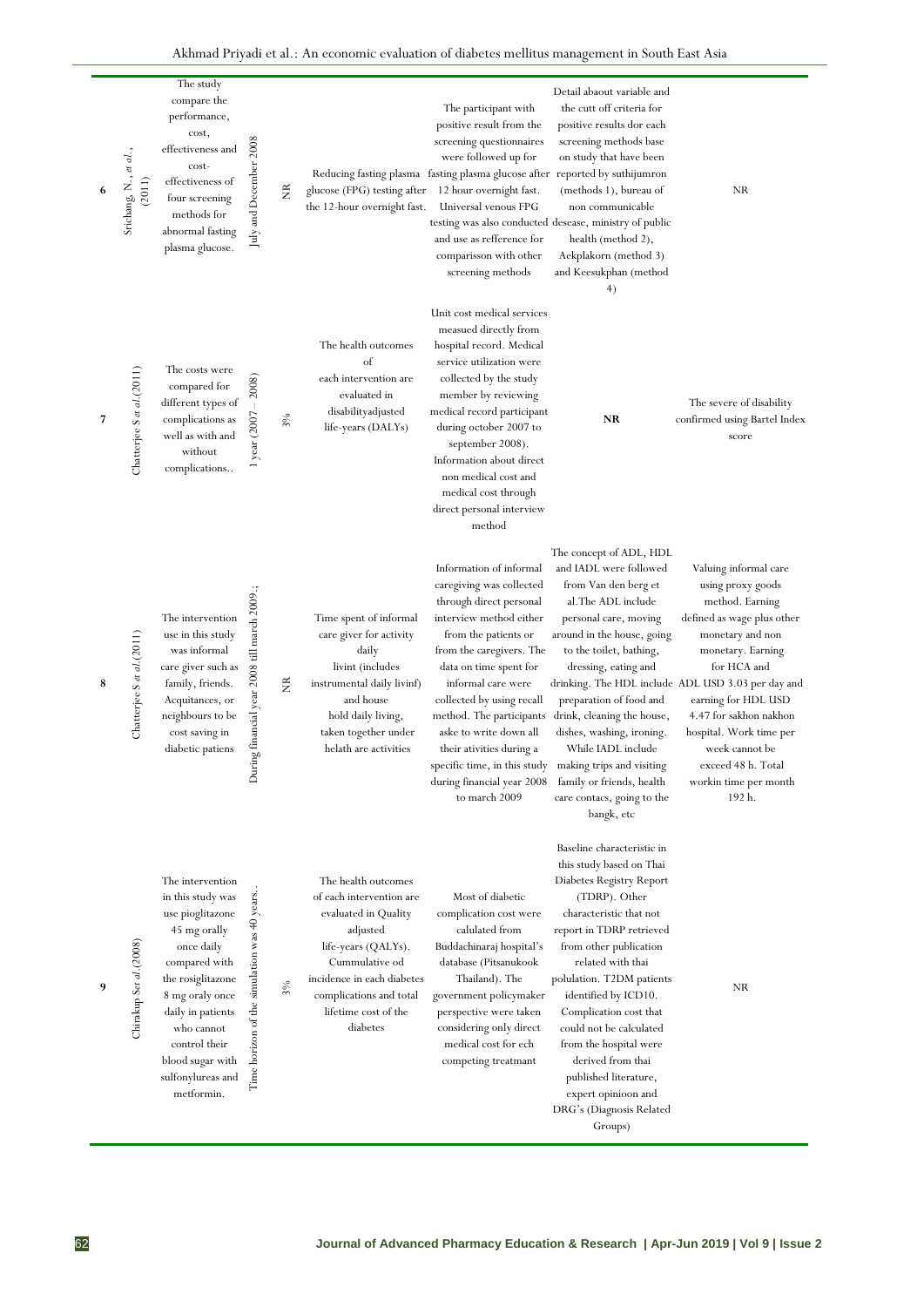|   | Srichang, N., et al.,<br>(2011) | The study<br>compare the<br>performance,<br>cost,<br>effectiveness and<br>cost-<br>effectiveness of<br>four screening<br>methods for<br>abnormal fasting<br>plasma glucose.                                                                                 | July and December 2008                                | ž                        | glucose (FPG) testing after<br>the 12-hour overnight fast.                                                                                                                                                                | The participant with<br>positive result from the<br>screening questionnaires<br>were followed up for<br>Reducing fasting plasma fasting plasma glucose after reported by suthijumron<br>12 hour overnight fast.<br>Universal venous FPG<br>testing was also conducted desease, ministry of public<br>and use as refference for<br>comparisson with other<br>screening methods                               | Detail abaout variable and<br>the cutt off criteria for<br>positive results dor each<br>screening methods base<br>on study that have been<br>(methods 1), bureau of<br>non communicable<br>health (method 2),<br>Aekplakorn (method 3)<br>and Keesukphan (method<br>4)                                                                                                                                                                                    | <b>NR</b>                                                                                                                                                                                                                                                                                                                                                        |
|---|---------------------------------|-------------------------------------------------------------------------------------------------------------------------------------------------------------------------------------------------------------------------------------------------------------|-------------------------------------------------------|--------------------------|---------------------------------------------------------------------------------------------------------------------------------------------------------------------------------------------------------------------------|-------------------------------------------------------------------------------------------------------------------------------------------------------------------------------------------------------------------------------------------------------------------------------------------------------------------------------------------------------------------------------------------------------------|-----------------------------------------------------------------------------------------------------------------------------------------------------------------------------------------------------------------------------------------------------------------------------------------------------------------------------------------------------------------------------------------------------------------------------------------------------------|------------------------------------------------------------------------------------------------------------------------------------------------------------------------------------------------------------------------------------------------------------------------------------------------------------------------------------------------------------------|
| 7 | Chatterjee S et al.(2011)       | The costs were<br>compared for<br>different types of<br>complications as<br>well as with and<br>without<br>complications                                                                                                                                    | 1 year $(2007 - 2008)$                                | $3\%$                    | The health outcomes<br>of<br>each intervention are<br>evaluated in<br>disabilityadjusted<br>life-years (DALYs)                                                                                                            | Unit cost medical services<br>measued directly from<br>hospital record. Medical<br>service utilization were<br>collected by the study<br>member by reviewing<br>medical record participant<br>during october 2007 to<br>september 2008).<br>Information about direct<br>non medical cost and<br>medical cost through<br>direct personal interview<br>method                                                 | NR                                                                                                                                                                                                                                                                                                                                                                                                                                                        | The severe of disability<br>confirmed using Bartel Index<br>score                                                                                                                                                                                                                                                                                                |
| 8 | Chatterjee S et al.(2011)       | The intervention<br>use in this study<br>was informal<br>care giver such as<br>family, friends.<br>Acquitances, or<br>neighbours to be<br>cost saving in<br>diabetic patiens                                                                                | uring financial year 2008 till march 2009.;<br>$\Box$ | $\widetilde{\mathbf{z}}$ | Time spent of informal<br>care giver for activity<br>daily<br>livint (includes<br>instrumental daily livinf)<br>and house<br>hold daily living,<br>taken together under<br>helath are activities                          | Information of informal<br>caregiving was collected<br>through direct personal<br>interview method either<br>from the patients or<br>from the caregivers. The<br>data on time spent for<br>informal care were<br>collected by using recall<br>method. The participants<br>aske to write down all<br>their ativities during a<br>specific time, in this study<br>during financial year 2008<br>to march 2009 | The concept of ADL, HDL<br>and IADL were followed<br>from Van den berg et<br>al. The ADL include<br>personal care, moving<br>around in the house, going<br>to the toilet, bathing,<br>dressing, eating and<br>preparation of food and<br>drink, cleaning the house,<br>dishes, washing, ironing.<br>While IADL include<br>making trips and visiting<br>family or friends, health<br>care contacs, going to the<br>bangk, etc                              | Valuing informal care<br>using proxy goods<br>method. Earning<br>defined as wage plus other<br>monetary and non<br>monetary. Earning<br>for HCA and<br>drinking. The HDL include ADL USD 3.03 per day and<br>earning for HDL USD<br>4.47 for sakhon nakhon<br>hospital. Work time per<br>week cannot be<br>exceed 48 h. Total<br>workin time per month<br>192 h. |
| 9 | Chirakup Set al. (2008)         | The intervention<br>in this study was<br>use pioglitazone<br>45 mg orally<br>once daily<br>compared with<br>the rosiglitazone<br>8 mg oraly once<br>daily in patients<br>who cannot<br>control their<br>blood sugar with<br>sulfonylureas and<br>metformin. | Time horizon of the simulation was 40 years.          | $3\%$                    | The health outcomes<br>of each intervention are<br>evaluated in Quality<br>adjusted<br>life-years (QALYs).<br>Cummulative od<br>incidence in each diabetes<br>complications and total<br>lifetime cost of the<br>diabetes | Most of diabetic<br>complication cost were<br>calulated from<br>Buddachinaraj hospital's<br>database (Pitsanukook<br>Thailand). The<br>government policymaker<br>perspective were taken<br>considering only direct<br>medical cost for ech<br>competing treatmant                                                                                                                                           | Baseline characteristic in<br>this study based on Thai<br>Diabetes Registry Report<br>(TDRP). Other<br>characteristic that not<br>report in TDRP retrieved<br>from other publication<br>related with thai<br>polulation. T2DM patients<br>identified by ICD10.<br>Complication cost that<br>could not be calculated<br>from the hospital were<br>derived from thai<br>published literature,<br>expert opinioon and<br>DRG's (Diagnosis Related<br>Groups) | <b>NR</b>                                                                                                                                                                                                                                                                                                                                                        |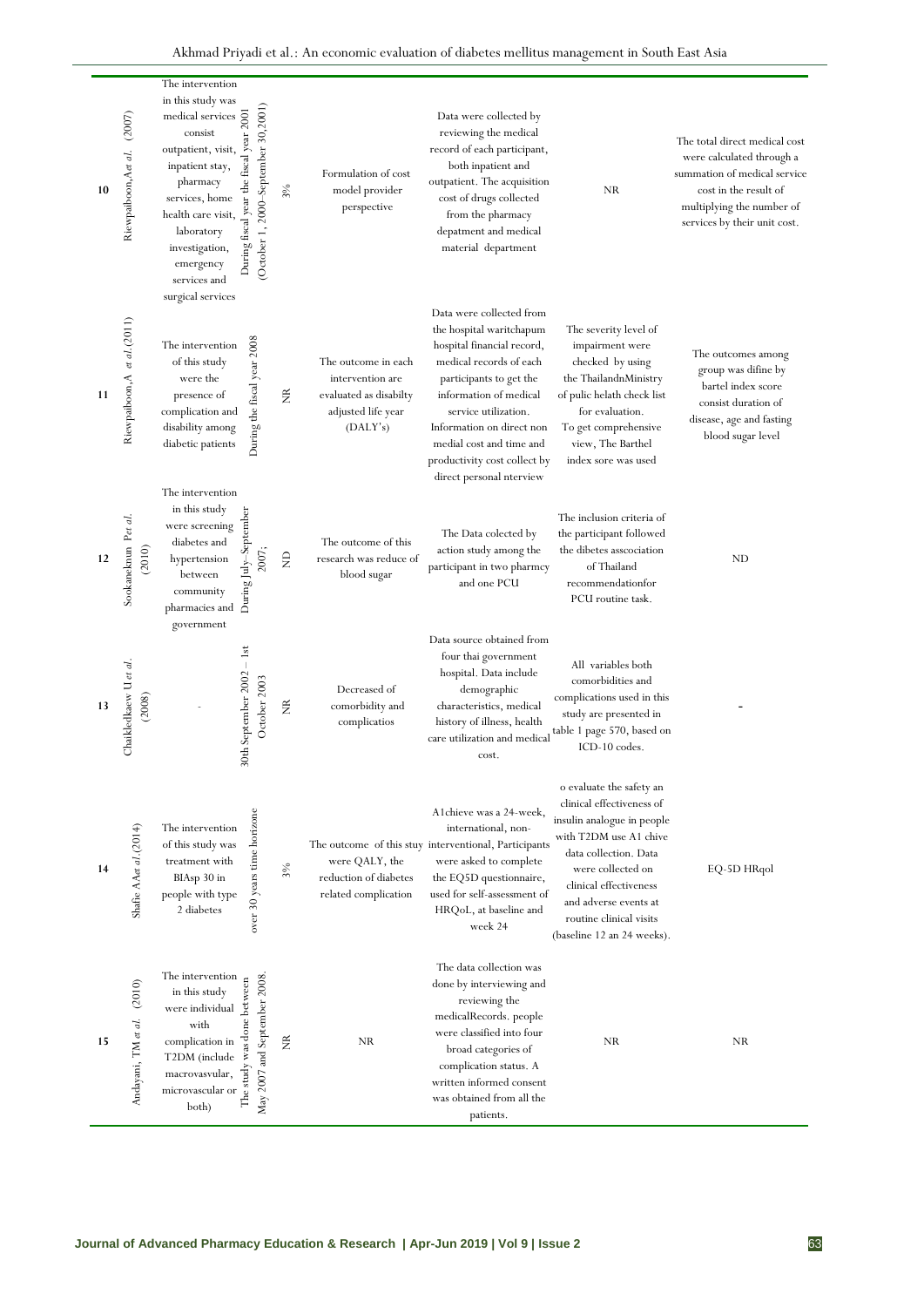Akhmad Priyadi et al.: An economic evaluation of diabetes mellitus management in South East Asia

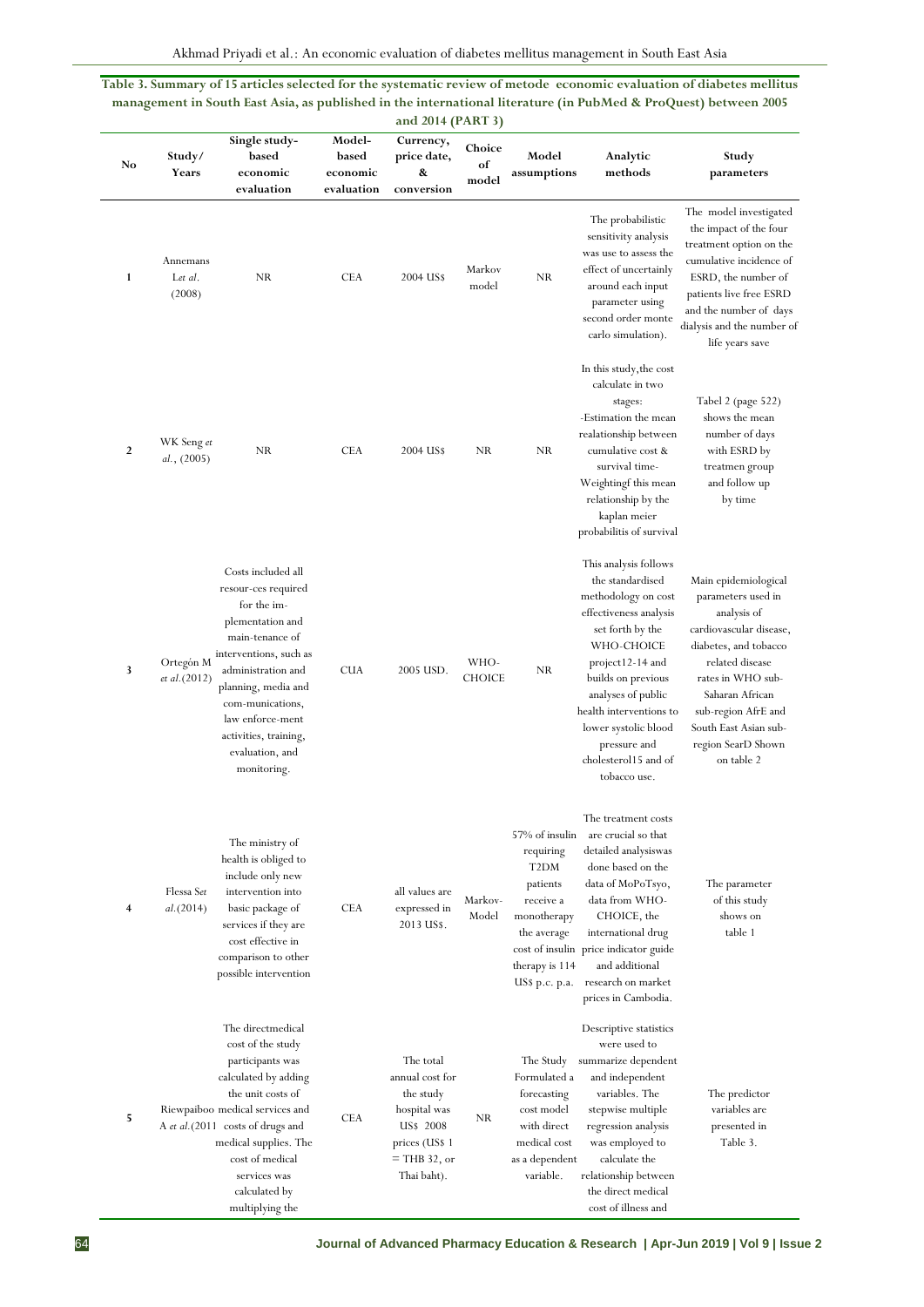**Table 3. Summary of 15 articles selected for the systematic review of metode economic evaluation of diabetes mellitus management in South East Asia, as published in the international literature (in PubMed & ProQuest) between 2005 and 2014 (PART 3)**

| No             | Study/<br>Years               | Single study-<br>based<br>economic<br>evaluation                                                                                                                                                                                                                                | Model-<br>based<br>economic<br>evaluation | Currency,<br>price date,<br>&<br>conversion                                                                               | Choice<br>of<br>model | Model<br>assumptions                                                                                                                        | Analytic<br>methods                                                                                                                                                                                                                                                                                     | Study<br>parameters                                                                                                                                                                                                                                          |
|----------------|-------------------------------|---------------------------------------------------------------------------------------------------------------------------------------------------------------------------------------------------------------------------------------------------------------------------------|-------------------------------------------|---------------------------------------------------------------------------------------------------------------------------|-----------------------|---------------------------------------------------------------------------------------------------------------------------------------------|---------------------------------------------------------------------------------------------------------------------------------------------------------------------------------------------------------------------------------------------------------------------------------------------------------|--------------------------------------------------------------------------------------------------------------------------------------------------------------------------------------------------------------------------------------------------------------|
| 1              | Annemans<br>Let al.<br>(2008) | NR                                                                                                                                                                                                                                                                              | <b>CEA</b>                                | 2004 US\$                                                                                                                 | Markov<br>model       | NR                                                                                                                                          | The probabilistic<br>sensitivity analysis<br>was use to assess the<br>effect of uncertainly<br>around each input<br>parameter using<br>second order monte<br>carlo simulation).                                                                                                                         | The model investigated<br>the impact of the four<br>treatment option on the<br>cumulative incidence of<br>ESRD, the number of<br>patients live free ESRD<br>and the number of days<br>dialysis and the number of<br>life years save                          |
| $\overline{2}$ | WK Seng et<br>al., (2005)     | NR                                                                                                                                                                                                                                                                              | <b>CEA</b>                                | 2004 US\$                                                                                                                 | NR                    | NR                                                                                                                                          | In this study, the cost<br>calculate in two<br>stages:<br>-Estimation the mean<br>realationship between<br>cumulative cost &<br>survival time-<br>Weightingf this mean<br>relationship by the<br>kaplan meier<br>probabilitis of survival                                                               | Tabel 2 (page 522)<br>shows the mean<br>number of days<br>with ESRD by<br>treatmen group<br>and follow up<br>by time                                                                                                                                         |
| 3              | Ortegón M<br>et al.(2012)     | Costs included all<br>resour-ces required<br>for the im-<br>plementation and<br>main-tenance of<br>interventions, such as<br>administration and<br>planning, media and<br>com-munications,<br>law enforce-ment<br>activities, training,<br>evaluation, and<br>monitoring.       | <b>CUA</b>                                | 2005 USD.                                                                                                                 | WHO-<br><b>CHOICE</b> | <b>NR</b>                                                                                                                                   | This analysis follows<br>the standardised<br>methodology on cost<br>effectiveness analysis<br>set forth by the<br>WHO-CHOICE<br>project12-14 and<br>builds on previous<br>analyses of public<br>health interventions to<br>lower systolic blood<br>pressure and<br>cholesterol15 and of<br>tobacco use. | Main epidemiological<br>parameters used in<br>analysis of<br>cardiovascular disease,<br>diabetes, and tobacco<br>related disease<br>rates in WHO sub-<br>Saharan African<br>sub-region AfrE and<br>South East Asian sub-<br>region SearD Shown<br>on table 2 |
| 4              | Flessa Set<br>al. (2014)      | The ministry of<br>health is obliged to<br>include only new<br>intervention into<br>basic package of<br>services if they are<br>cost effective in<br>comparison to other<br>possible intervention                                                                               | <b>CEA</b>                                | all values are<br>expressed in<br>2013 US\$.                                                                              | Markov-<br>Model      | 57% of insulin<br>requiring<br>T <sub>2</sub> DM<br>patients<br>receive a<br>monotherapy<br>the average<br>therapy is 114<br>US\$ p.c. p.a. | The treatment costs<br>are crucial so that<br>detailed analysiswas<br>done based on the<br>data of MoPoTsyo,<br>data from WHO-<br>CHOICE, the<br>international drug<br>cost of insulin price indicator guide<br>and additional<br>research on market<br>prices in Cambodia.                             | The parameter<br>of this study<br>shows on<br>table 1                                                                                                                                                                                                        |
| 5              |                               | The directmedical<br>cost of the study<br>participants was<br>calculated by adding<br>the unit costs of<br>Riewpaiboo medical services and<br>A et al. (2011 costs of drugs and<br>medical supplies. The<br>cost of medical<br>services was<br>calculated by<br>multiplying the | <b>CEA</b>                                | The total<br>annual cost for<br>the study<br>hospital was<br>US\$ 2008<br>prices (US\$ 1<br>$=$ THB 32, or<br>Thai baht). | NR                    | The Study<br>Formulated a<br>forecasting<br>cost model<br>with direct<br>medical cost<br>as a dependent<br>variable.                        | Descriptive statistics<br>were used to<br>summarize dependent<br>and independent<br>variables. The<br>stepwise multiple<br>regression analysis<br>was employed to<br>calculate the<br>relationship between<br>the direct medical<br>cost of illness and                                                 | The predictor<br>variables are<br>presented in<br>Table 3.                                                                                                                                                                                                   |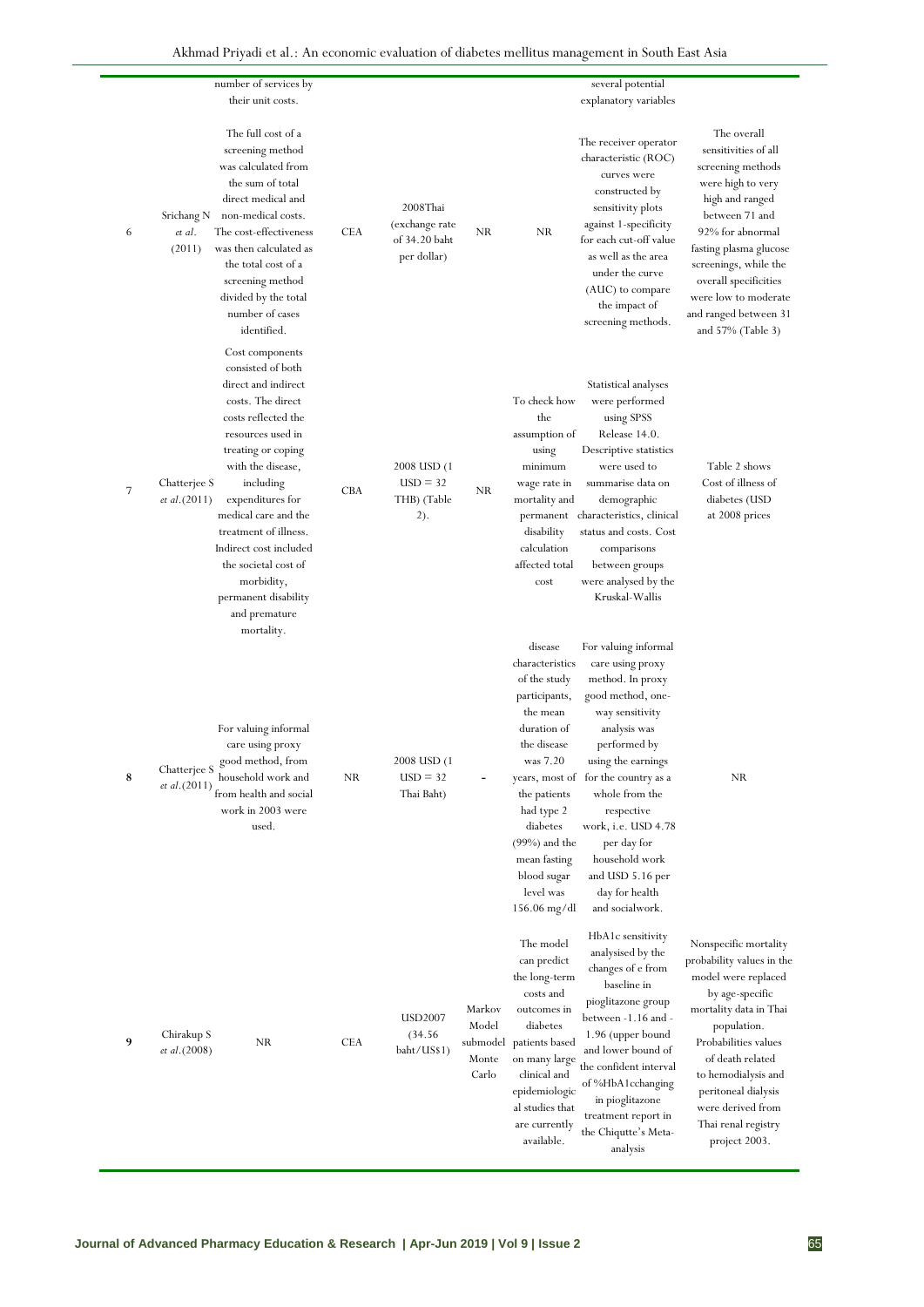|   | number of services by                                                                                                                                                                                                                                                                                                                                                                                                      |            |                                                            |                                               |                                                                                                                                                                                                                                             | several potential                                                                                                                                                                                                                                                                                                                                         |                                                                                                                                                                                                                                                                                              |
|---|----------------------------------------------------------------------------------------------------------------------------------------------------------------------------------------------------------------------------------------------------------------------------------------------------------------------------------------------------------------------------------------------------------------------------|------------|------------------------------------------------------------|-----------------------------------------------|---------------------------------------------------------------------------------------------------------------------------------------------------------------------------------------------------------------------------------------------|-----------------------------------------------------------------------------------------------------------------------------------------------------------------------------------------------------------------------------------------------------------------------------------------------------------------------------------------------------------|----------------------------------------------------------------------------------------------------------------------------------------------------------------------------------------------------------------------------------------------------------------------------------------------|
|   | their unit costs.                                                                                                                                                                                                                                                                                                                                                                                                          |            |                                                            |                                               |                                                                                                                                                                                                                                             | explanatory variables                                                                                                                                                                                                                                                                                                                                     |                                                                                                                                                                                                                                                                                              |
| 6 | The full cost of a<br>screening method<br>was calculated from<br>the sum of total<br>direct medical and<br>non-medical costs.<br>Srichang N<br>The cost-effectiveness<br>et al.<br>(2011)<br>was then calculated as<br>the total cost of a<br>screening method<br>divided by the total<br>number of cases<br>identified.                                                                                                   | <b>CEA</b> | 2008Thai<br>(exchange rate<br>of 34.20 baht<br>per dollar) | NR                                            | NR.                                                                                                                                                                                                                                         | The receiver operator<br>characteristic (ROC)<br>curves were<br>constructed by<br>sensitivity plots<br>against 1-specificity<br>for each cut-off value<br>as well as the area<br>under the curve<br>(AUC) to compare<br>the impact of<br>screening methods.                                                                                               | The overall<br>sensitivities of all<br>screening methods<br>were high to very<br>high and ranged<br>between 71 and<br>92% for abnormal<br>fasting plasma glucose<br>screenings, while the<br>overall specificities<br>were low to moderate<br>and ranged between 31<br>and $57\%$ (Table 3)  |
| 7 | Cost components<br>consisted of both<br>direct and indirect<br>costs. The direct<br>costs reflected the<br>resources used in<br>treating or coping<br>with the disease,<br>Chatterjee S<br>including<br><i>et al.</i> $(2011)$<br>expenditures for<br>medical care and the<br>treatment of illness.<br>Indirect cost included<br>the societal cost of<br>morbidity,<br>permanent disability<br>and premature<br>mortality. | <b>CBA</b> | 2008 USD (1)<br>$USD = 32$<br>THB) (Table<br>2).           | NR                                            | To check how<br>the<br>assumption of<br>using<br>minimum<br>wage rate in<br>mortality and<br>disability<br>calculation<br>affected total<br>cost                                                                                            | Statistical analyses<br>were performed<br>using SPSS<br>Release 14.0.<br>Descriptive statistics<br>were used to<br>summarise data on<br>demographic<br>permanent characteristics, clinical<br>status and costs. Cost<br>comparisons<br>between groups<br>were analysed by the<br>Kruskal-Wallis                                                           | Table 2 shows<br>Cost of illness of<br>diabetes (USD<br>at 2008 prices                                                                                                                                                                                                                       |
| 8 | For valuing informal<br>care using proxy<br>good method, from<br>Chatterjee S<br>household work and<br>et al.(2011)<br>from health and social<br>work in 2003 were<br>used.                                                                                                                                                                                                                                                | NR.        | 2008 USD (1<br>$USD = 32$<br>Thai Baht)                    |                                               | disease<br>characteristics<br>of the study<br>participants,<br>the mean<br>duration of<br>the disease<br>was 7.20<br>the patients<br>had type 2<br>diabetes<br>$(99\%)$ and the<br>mean fasting<br>blood sugar<br>level was<br>156.06 mg/dl | For valuing informal<br>care using proxy<br>method. In proxy<br>good method, one-<br>way sensitivity<br>analysis was<br>performed by<br>using the earnings<br>years, most of for the country as a<br>whole from the<br>respective<br>work, <i>i.e.</i> USD 4.78<br>per day for<br>household work<br>and USD 5.16 per<br>day for health<br>and socialwork. | NR                                                                                                                                                                                                                                                                                           |
| 9 | Chirakup S<br>NR.<br>et al.(2008)                                                                                                                                                                                                                                                                                                                                                                                          | <b>CEA</b> | USD2007<br>(34.56)<br>baht/US\$1)                          | Markov<br>Model<br>submodel<br>Monte<br>Carlo | The model<br>can predict<br>the long-term<br>costs and<br>outcomes in<br>diabetes<br>patients based<br>on many large<br>clinical and<br>epidemiologic<br>al studies that<br>are currently<br>available.                                     | HbA1c sensitivity<br>analysised by the<br>changes of e from<br>baseline in<br>pioglitazone group<br>between -1.16 and -<br>1.96 (upper bound<br>and lower bound of<br>the confident interval<br>of %HbA1cchanging<br>in pioglitazone<br>treatment report in<br>the Chiqutte's Meta-<br>analysis                                                           | Nonspecific mortality<br>probability values in the<br>model were replaced<br>by age-specific<br>mortality data in Thai<br>population.<br>Probabilities values<br>of death related<br>to hemodialysis and<br>peritoneal dialysis<br>were derived from<br>Thai renal registry<br>project 2003. |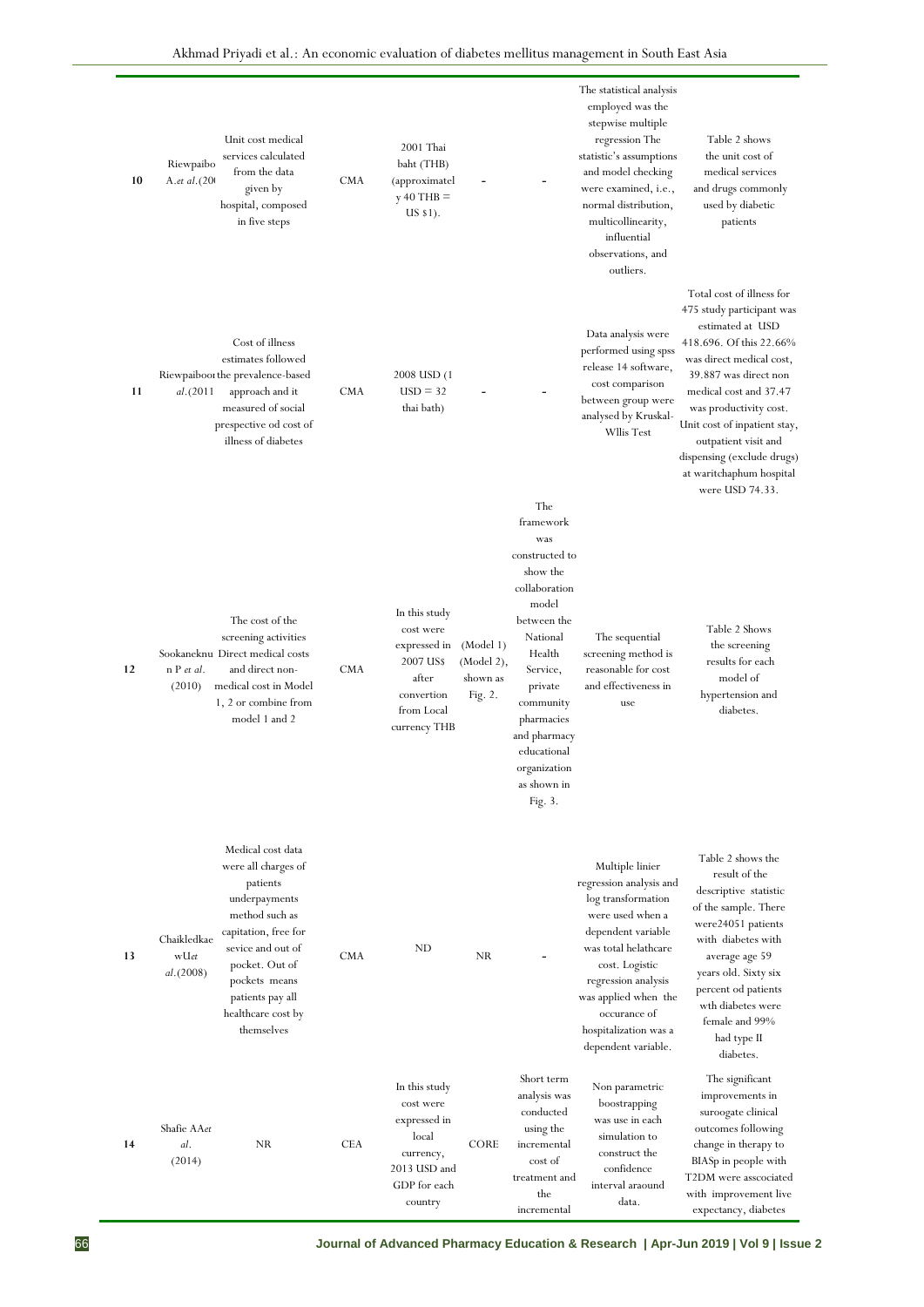| 10 | Riewpaibo<br>A.et al.(20)         | Unit cost medical<br>services calculated<br>from the data<br>given by<br>hospital, composed<br>in five steps                                                                                                                    | <b>CMA</b> | 2001 Thai<br>baht (THB)<br>(approximatel<br>$y = 40$ THB =<br>$US $1)$ .                                     |                                                |                                                                                                                                                                                                                                          | The statistical analysis<br>employed was the<br>stepwise multiple<br>regression The<br>statistic's assumptions<br>and model checking<br>were examined, i.e.,<br>normal distribution,<br>multicollinearity,<br>influential<br>observations, and<br>outliers.         | Table 2 shows<br>the unit cost of<br>medical services<br>and drugs commonly<br>used by diabetic<br>patients                                                                                                                                                                                                                                         |
|----|-----------------------------------|---------------------------------------------------------------------------------------------------------------------------------------------------------------------------------------------------------------------------------|------------|--------------------------------------------------------------------------------------------------------------|------------------------------------------------|------------------------------------------------------------------------------------------------------------------------------------------------------------------------------------------------------------------------------------------|---------------------------------------------------------------------------------------------------------------------------------------------------------------------------------------------------------------------------------------------------------------------|-----------------------------------------------------------------------------------------------------------------------------------------------------------------------------------------------------------------------------------------------------------------------------------------------------------------------------------------------------|
| 11 | al.(2011                          | Cost of illness<br>estimates followed<br>Riewpaibooi the prevalence-based<br>approach and it<br>measured of social<br>prespective od cost of<br>illness of diabetes                                                             | <b>CMA</b> | 2008 USD (1<br>$USD = 32$<br>thai bath)                                                                      |                                                | The                                                                                                                                                                                                                                      | Data analysis were<br>performed using spss<br>release 14 software,<br>cost comparison<br>between group were<br>analysed by Kruskal-<br>Wllis Test                                                                                                                   | Total cost of illness for<br>475 study participant was<br>estimated at USD<br>418.696. Of this 22.66%<br>was direct medical cost,<br>39.887 was direct non<br>medical cost and 37.47<br>was productivity cost.<br>Unit cost of inpatient stay,<br>outpatient visit and<br>dispensing (exclude drugs)<br>at waritchaphum hospital<br>were USD 74.33. |
| 12 | n P et al.<br>(2010)              | The cost of the<br>screening activities<br>Sookaneknu Direct medical costs<br>and direct non-<br>medical cost in Model<br>1, 2 or combine from<br>model 1 and 2                                                                 | <b>CMA</b> | In this study<br>cost were<br>expressed in<br>2007 US\$<br>after<br>convertion<br>from Local<br>currency THB | (Model 1)<br>(Model 2),<br>shown as<br>Fig. 2. | framework<br>was<br>constructed to<br>show the<br>collaboration<br>model<br>between the<br>National<br>Health<br>Service,<br>private<br>community<br>pharmacies<br>and pharmacy<br>educational<br>organization<br>as shown in<br>Fig. 3. | The sequential<br>screening method is<br>reasonable for cost<br>and effectiveness in<br>use                                                                                                                                                                         | Table 2 Shows<br>the screening<br>results for each<br>model of<br>hypertension and<br>diabetes.                                                                                                                                                                                                                                                     |
| 13 | Chaikledkae<br>wUet<br>al. (2008) | Medical cost data<br>were all charges of<br>patients<br>underpayments<br>method such as<br>capitation, free for<br>sevice and out of<br>pocket. Out of<br>pockets means<br>patients pay all<br>healthcare cost by<br>themselves | <b>CMA</b> | ND                                                                                                           | NR.                                            |                                                                                                                                                                                                                                          | Multiple linier<br>regression analysis and<br>log transformation<br>were used when a<br>dependent variable<br>was total helathcare<br>cost. Logistic<br>regression analysis<br>was applied when the<br>occurance of<br>hospitalization was a<br>dependent variable. | Table 2 shows the<br>result of the<br>descriptive statistic<br>of the sample. There<br>were24051 patients<br>with diabetes with<br>average age 59<br>years old. Sixty six<br>percent od patients<br>wth diabetes were<br>female and 99%<br>had type II<br>diabetes.                                                                                 |
| 14 | Shafie AAet<br>al.<br>(2014)      | NR                                                                                                                                                                                                                              | <b>CEA</b> | In this study<br>cost were<br>expressed in<br>local<br>currency,<br>2013 USD and<br>GDP for each<br>country  | <b>CORE</b>                                    | Short term<br>analysis was<br>conducted<br>using the<br>incremental<br>cost of<br>treatment and<br>the<br>incremental                                                                                                                    | Non parametric<br>boostrapping<br>was use in each<br>simulation to<br>construct the<br>confidence<br>interval araound<br>data.                                                                                                                                      | The significant<br>improvements in<br>suroogate clinical<br>outcomes following<br>change in therapy to<br>BIASp in people with<br>T2DM were asscociated<br>with improvement live<br>expectancy, diabetes                                                                                                                                            |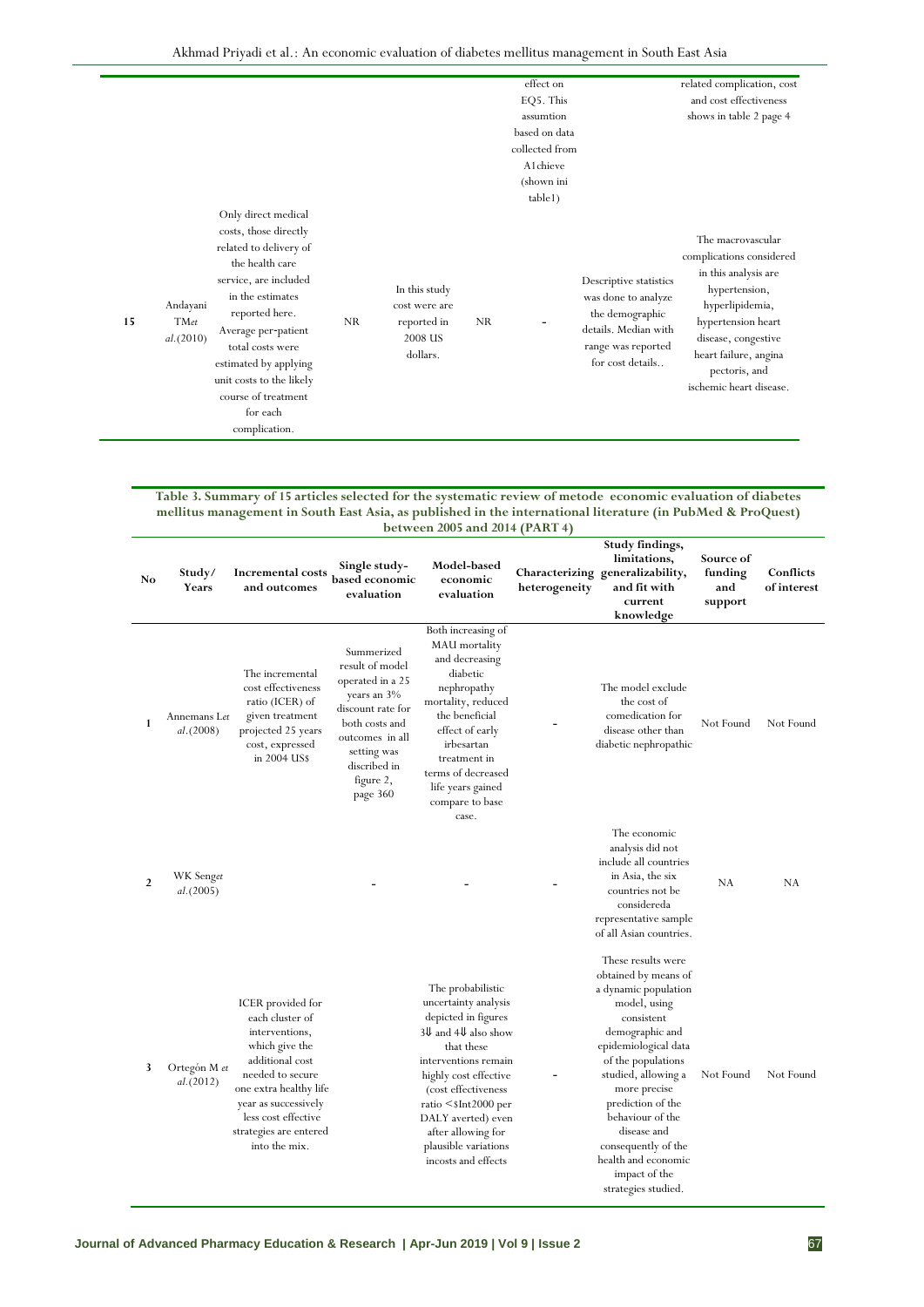|                                      |                                                                                                                                                                                                                                                                                                              |           |                                                                      |           | effect on<br>EQ5. This                       |                                                                                                                                    | related complication, cost<br>and cost effectiveness                                                                                                                                                                        |
|--------------------------------------|--------------------------------------------------------------------------------------------------------------------------------------------------------------------------------------------------------------------------------------------------------------------------------------------------------------|-----------|----------------------------------------------------------------------|-----------|----------------------------------------------|------------------------------------------------------------------------------------------------------------------------------------|-----------------------------------------------------------------------------------------------------------------------------------------------------------------------------------------------------------------------------|
|                                      |                                                                                                                                                                                                                                                                                                              |           |                                                                      |           | assumtion<br>based on data<br>collected from |                                                                                                                                    | shows in table 2 page 4                                                                                                                                                                                                     |
|                                      |                                                                                                                                                                                                                                                                                                              |           |                                                                      |           | A1chieve<br>(shown ini<br>table1)            |                                                                                                                                    |                                                                                                                                                                                                                             |
| Andayani<br>15<br>TMet<br>al. (2010) | Only direct medical<br>costs, those directly<br>related to delivery of<br>the health care<br>service, are included<br>in the estimates<br>reported here.<br>Average per-patient<br>total costs were<br>estimated by applying<br>unit costs to the likely<br>course of treatment<br>for each<br>complication. | <b>NR</b> | In this study<br>cost were are<br>reported in<br>2008 US<br>dollars. | <b>NR</b> |                                              | Descriptive statistics<br>was done to analyze<br>the demographic<br>details. Median with<br>range was reported<br>for cost details | The macrovascular<br>complications considered<br>in this analysis are<br>hypertension,<br>hyperlipidemia,<br>hypertension heart<br>disease, congestive<br>heart failure, angina<br>pectoris, and<br>ischemic heart disease. |

#### **Table 3. Summary of 15 articles selected for the systematic review of metode economic evaluation of diabetes mellitus management in South East Asia, as published in the international literature (in PubMed & ProQuest) between 2005 and 2014 (PART 4)**

| No | Study/<br>Years            | Incremental costs<br>and outcomes                                                                                                                                                                                                   | Single study-<br>based economic<br>evaluation                                                                                                                                      | Model-based<br>economic<br>evaluation                                                                                                                                                                                                                                                                           | heterogeneity | Study findings,<br>limitations,<br>Characterizing generalizability,<br>and fit with<br>current<br>knowledge                                                                                                                                                                                                                                            | Source of<br>funding<br>and<br>support | Conflicts<br>of interest |
|----|----------------------------|-------------------------------------------------------------------------------------------------------------------------------------------------------------------------------------------------------------------------------------|------------------------------------------------------------------------------------------------------------------------------------------------------------------------------------|-----------------------------------------------------------------------------------------------------------------------------------------------------------------------------------------------------------------------------------------------------------------------------------------------------------------|---------------|--------------------------------------------------------------------------------------------------------------------------------------------------------------------------------------------------------------------------------------------------------------------------------------------------------------------------------------------------------|----------------------------------------|--------------------------|
| 1  | Annemans Let<br>al. (2008) | The incremental<br>cost effectiveness<br>ratio (ICER) of<br>given treatment<br>projected 25 years<br>cost, expressed<br>in 2004 US\$                                                                                                | Summerized<br>result of model<br>operated in a 25<br>years an 3%<br>discount rate for<br>both costs and<br>outcomes in all<br>setting was<br>discribed in<br>figure 2,<br>page 360 | Both increasing of<br><b>MAU</b> mortality<br>and decreasing<br>diabetic<br>nephropathy<br>mortality, reduced<br>the beneficial<br>effect of early<br>irbesartan<br>treatment in<br>terms of decreased<br>life years gained<br>compare to base<br>case.                                                         |               | The model exclude<br>the cost of<br>comedication for<br>disease other than<br>diabetic nephropathic                                                                                                                                                                                                                                                    | Not Found                              | Not Found                |
| 2  | WK Senget<br>al. (2005)    |                                                                                                                                                                                                                                     |                                                                                                                                                                                    |                                                                                                                                                                                                                                                                                                                 |               | The economic<br>analysis did not<br>include all countries<br>in Asia, the six<br>countries not be<br>considereda<br>representative sample<br>of all Asian countries.                                                                                                                                                                                   | NA                                     | NA                       |
| 3  | Ortegón M et<br>al. (2012) | ICER provided for<br>each cluster of<br>interventions,<br>which give the<br>additional cost<br>needed to secure<br>one extra healthy life<br>year as successively<br>less cost effective<br>strategies are entered<br>into the mix. |                                                                                                                                                                                    | The probabilistic<br>uncertainty analysis<br>depicted in figures<br>$3\ell$ and $4\ell$ also show<br>that these<br>interventions remain<br>highly cost effective<br>(cost effectiveness<br>ratio $\leq$ sInt2000 per<br>DALY averted) even<br>after allowing for<br>plausible variations<br>incosts and effects |               | These results were<br>obtained by means of<br>a dynamic population<br>model, using<br>consistent<br>demographic and<br>epidemiological data<br>of the populations<br>studied, allowing a<br>more precise<br>prediction of the<br>behaviour of the<br>disease and<br>consequently of the<br>health and economic<br>impact of the<br>strategies studied. | Not Found                              | Not Found                |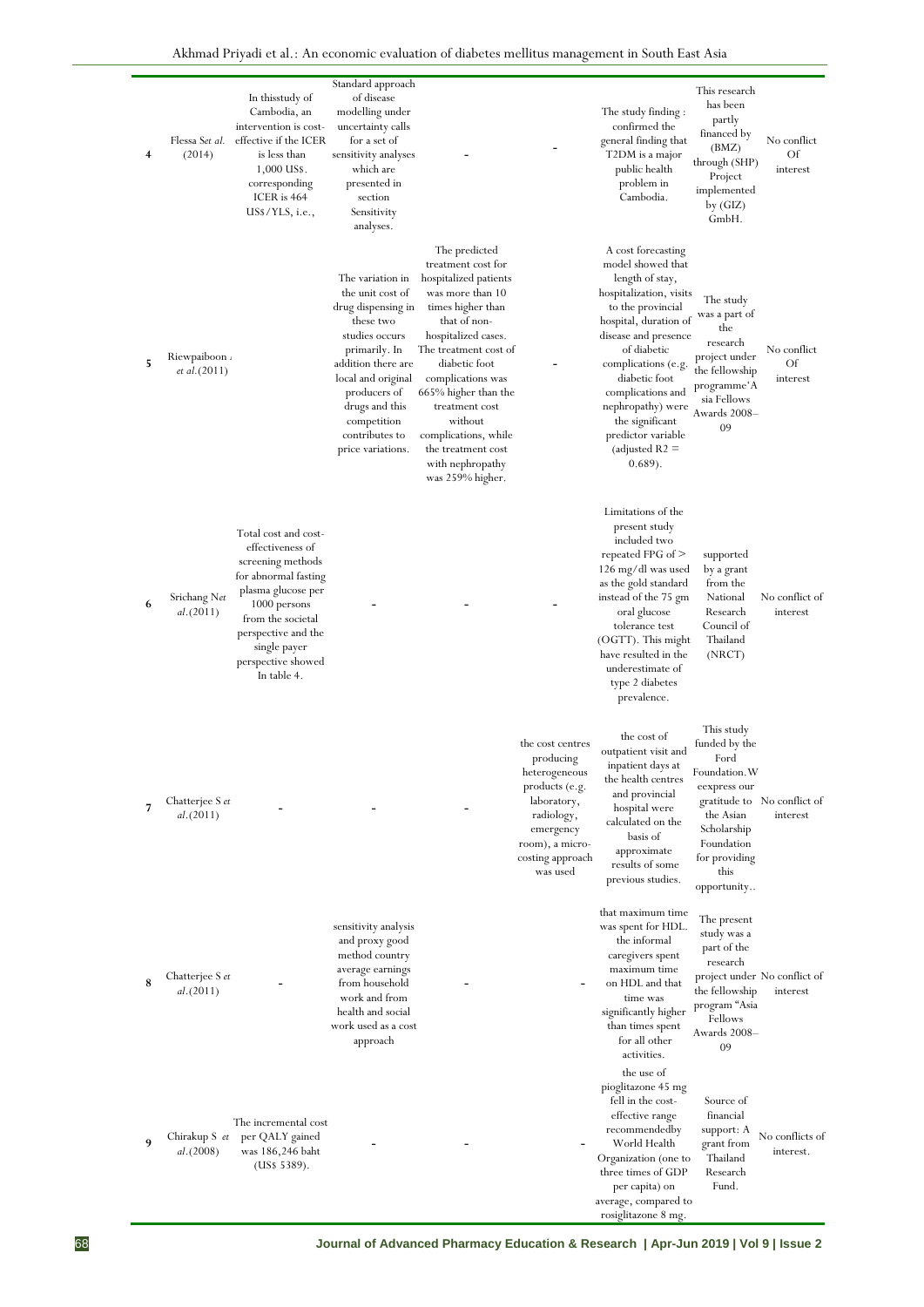| 4 | Flessa Set al.<br>(2014)     | In thisstudy of<br>Cambodia, an<br>intervention is cost-<br>effective if the ICER<br>is less than<br>1,000 US\$.<br>corresponding<br>ICER is 464<br>US\$/YLS, i.e.,                                                          | Standard approach<br>of disease<br>modelling under<br>uncertainty calls<br>for a set of<br>sensitivity analyses<br>which are<br>presented in<br>section<br>Sensitivity<br>analyses.                                                            |                                                                                                                                                                                                                                                                                                                                                        |                                                                                                                                                               | The study finding:<br>confirmed the<br>general finding that<br>T2DM is a major<br>public health<br>problem in<br>Cambodia.                                                                                                                                                                                                            | This research<br>has been<br>partly<br>financed by<br>(BMZ)<br>through (SHP)<br>Project<br>implemented<br>by $(GIZ)$<br>GmbH.                          | No conflict<br>Of<br>interest            |
|---|------------------------------|------------------------------------------------------------------------------------------------------------------------------------------------------------------------------------------------------------------------------|------------------------------------------------------------------------------------------------------------------------------------------------------------------------------------------------------------------------------------------------|--------------------------------------------------------------------------------------------------------------------------------------------------------------------------------------------------------------------------------------------------------------------------------------------------------------------------------------------------------|---------------------------------------------------------------------------------------------------------------------------------------------------------------|---------------------------------------------------------------------------------------------------------------------------------------------------------------------------------------------------------------------------------------------------------------------------------------------------------------------------------------|--------------------------------------------------------------------------------------------------------------------------------------------------------|------------------------------------------|
| 5 | Riewpaiboon<br>et al.(2011)  |                                                                                                                                                                                                                              | The variation in<br>the unit cost of<br>drug dispensing in<br>these two<br>studies occurs<br>primarily. In<br>addition there are<br>local and original<br>producers of<br>drugs and this<br>competition<br>contributes to<br>price variations. | The predicted<br>treatment cost for<br>hospitalized patients<br>was more than 10<br>times higher than<br>that of non-<br>hospitalized cases.<br>The treatment cost of<br>diabetic foot<br>complications was<br>665% higher than the<br>treatment cost<br>without<br>complications, while<br>the treatment cost<br>with nephropathy<br>was 259% higher. |                                                                                                                                                               | A cost forecasting<br>model showed that<br>length of stay,<br>hospitalization, visits<br>to the provincial<br>hospital, duration of<br>disease and presence<br>of diabetic<br>complications (e.g.<br>diabetic foot<br>complications and<br>nephropathy) were<br>the significant<br>predictor variable<br>(adjusted $R2 =$<br>(0.689). | The study<br>was a part of<br>the<br>research<br>project under<br>the fellowship<br>programme'A<br>sia Fellows<br>Awards 2008–<br>09                   | No conflict<br>Of<br>interest            |
| 6 | Srichang Net<br>al.(2011)    | Total cost and cost-<br>effectiveness of<br>screening methods<br>for abnormal fasting<br>plasma glucose per<br>1000 persons<br>from the societal<br>perspective and the<br>single payer<br>perspective showed<br>In table 4. |                                                                                                                                                                                                                                                |                                                                                                                                                                                                                                                                                                                                                        |                                                                                                                                                               | Limitations of the<br>present study<br>included two<br>repeated FPG of $>$<br>126 mg/dl was used<br>as the gold standard<br>instead of the 75 gm<br>oral glucose<br>tolerance test<br>(OGTT). This might<br>have resulted in the<br>underestimate of<br>type 2 diabetes<br>prevalence.                                                | supported<br>by a grant<br>from the<br>National<br>Research<br>Council of<br>Thailand<br>(NRCT)                                                        | No conflict of<br>interest               |
| 7 | Chatterjee S et<br>al.(2011) |                                                                                                                                                                                                                              |                                                                                                                                                                                                                                                |                                                                                                                                                                                                                                                                                                                                                        | the cost centres<br>producing<br>heterogeneous<br>products (e.g.<br>laboratory,<br>radiology,<br>emergency<br>room), a micro-<br>costing approach<br>was used | the cost of<br>outpatient visit and<br>inpatient days at<br>the health centres<br>and provincial<br>hospital were<br>calculated on the<br>basis of<br>approximate<br>results of some<br>previous studies.                                                                                                                             | This study<br>funded by the<br>Ford<br>Foundation. W<br>eexpress our<br>the Asian<br>Scholarship<br>Foundation<br>for providing<br>this<br>opportunity | gratitude to No conflict of<br>interest  |
| 8 | Chatterjee S et<br>al.(2011) |                                                                                                                                                                                                                              | sensitivity analysis<br>and proxy good<br>method country<br>average earnings<br>from household<br>work and from<br>health and social<br>work used as a cost<br>approach                                                                        |                                                                                                                                                                                                                                                                                                                                                        |                                                                                                                                                               | that maximum time<br>was spent for HDL.<br>the informal<br>caregivers spent<br>maximum time<br>on HDL and that<br>time was<br>significantly higher<br>than times spent<br>for all other<br>activities.                                                                                                                                | The present<br>study was a<br>part of the<br>research<br>the fellowship<br>program "Asia<br>Fellows<br>Awards 2008-<br>09                              | project under No conflict of<br>interest |
| 9 | Chirakup S et<br>al. (2008)  | The incremental cost<br>per QALY gained<br>was 186,246 baht<br>(US\$ 5389).                                                                                                                                                  |                                                                                                                                                                                                                                                |                                                                                                                                                                                                                                                                                                                                                        |                                                                                                                                                               | the use of<br>pioglitazone 45 mg<br>fell in the cost-<br>effective range<br>recommendedby<br>World Health<br>Organization (one to<br>three times of GDP<br>per capita) on<br>average, compared to<br>rosiglitazone 8 mg.                                                                                                              | Source of<br>financial<br>support: A<br>grant from<br>Thailand<br>Research<br>Fund.                                                                    | No conflicts of<br>interest.             |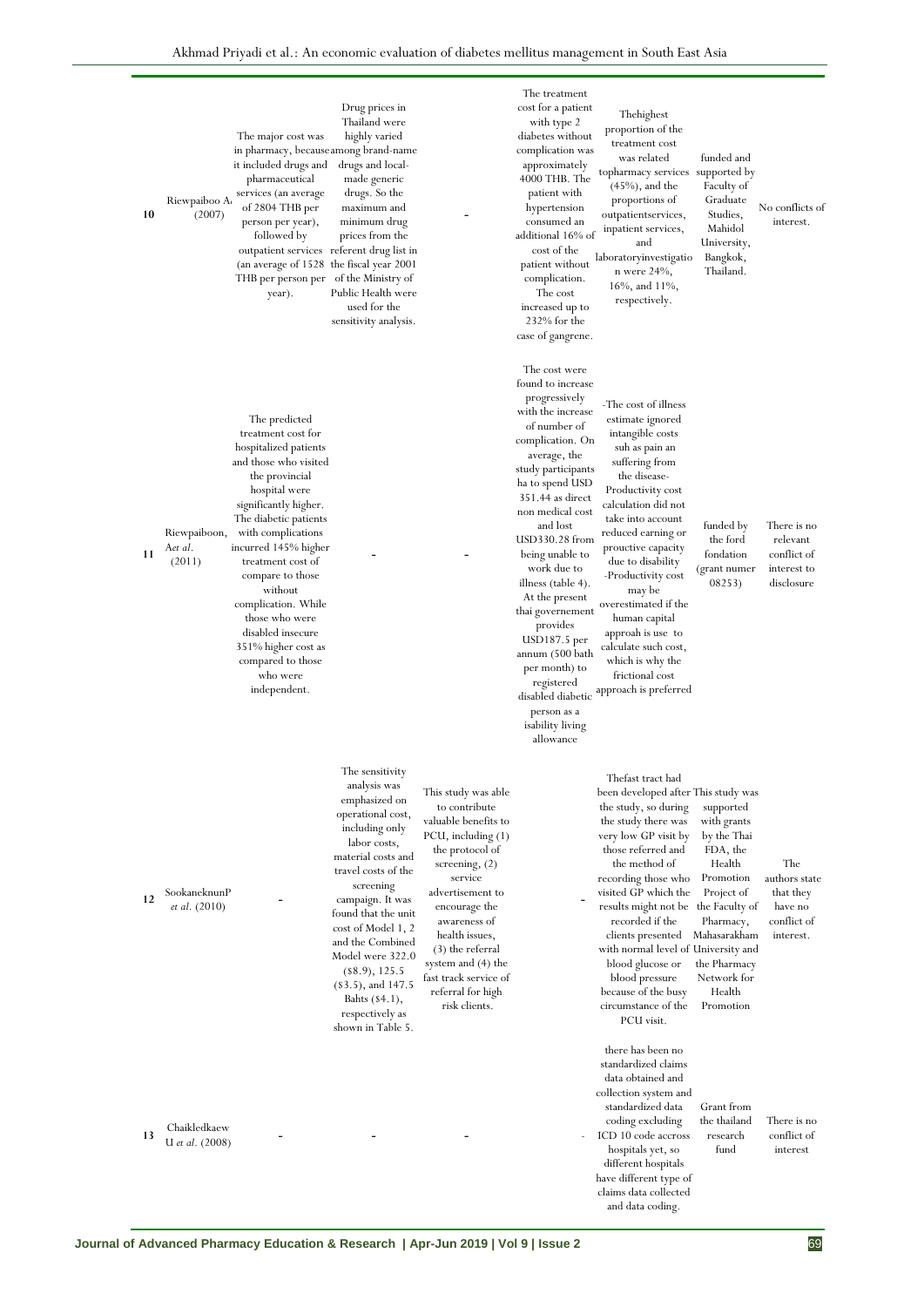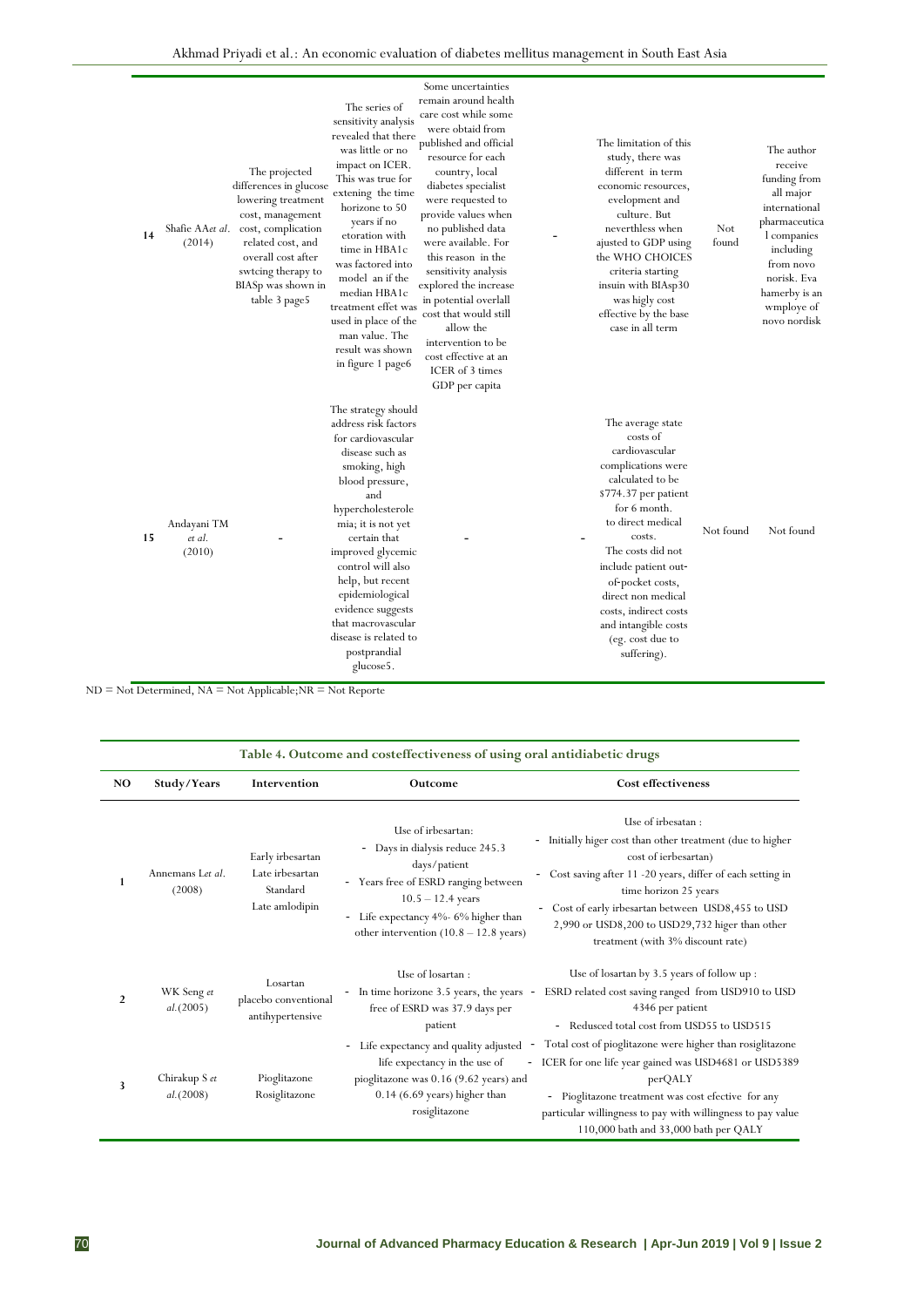| 14 | (2014)                          | The series of<br>sensitivity analysis<br>revealed that there<br>was little or no<br>impact on ICER.<br>The projected<br>This was true for<br>differences in glucose<br>extening the time<br>lowering treatment<br>horizone to 50<br>cost, management<br>years if no<br>Shafie AAet al. cost, complication<br>etoration with<br>related cost, and<br>time in HBA1c<br>overall cost after<br>was factored into<br>swtcing therapy to<br>model an if the<br>BIASp was shown in<br>median HBA1c<br>table 3 page5<br>treatment effet was<br>used in place of the<br>man value. The<br>result was shown<br>in figure 1 page6 | Some uncertainties<br>remain around health<br>care cost while some<br>were obtaid from<br>published and official<br>resource for each<br>country, local<br>diabetes specialist<br>were requested to<br>provide values when<br>no published data<br>were available. For<br>this reason in the<br>sensitivity analysis<br>explored the increase<br>in potential overlall<br>cost that would still<br>allow the<br>intervention to be<br>cost effective at an<br>ICER of 3 times<br>GDP per capita | The limitation of this<br>study, there was<br>different in term<br>economic resources,<br>evelopment and<br>culture. But<br>neverthless when<br>ajusted to GDP using<br>the WHO CHOICES<br>criteria starting<br>insuin with BIAsp30<br>was higly cost<br>effective by the base<br>case in all term                                          | Not<br>found | The author<br>receive<br>funding from<br>all major<br>international<br>pharmaceutica<br>l companies<br>including<br>from novo<br>norisk. Eva<br>hamerby is an<br>wmploye of<br>novo nordisk |
|----|---------------------------------|------------------------------------------------------------------------------------------------------------------------------------------------------------------------------------------------------------------------------------------------------------------------------------------------------------------------------------------------------------------------------------------------------------------------------------------------------------------------------------------------------------------------------------------------------------------------------------------------------------------------|-------------------------------------------------------------------------------------------------------------------------------------------------------------------------------------------------------------------------------------------------------------------------------------------------------------------------------------------------------------------------------------------------------------------------------------------------------------------------------------------------|---------------------------------------------------------------------------------------------------------------------------------------------------------------------------------------------------------------------------------------------------------------------------------------------------------------------------------------------|--------------|---------------------------------------------------------------------------------------------------------------------------------------------------------------------------------------------|
| 15 | Andayani TM<br>et al.<br>(2010) | The strategy should<br>address risk factors<br>for cardiovascular<br>disease such as<br>smoking, high<br>blood pressure,<br>and<br>hypercholesterole<br>mia; it is not yet<br>certain that<br>improved glycemic<br>control will also<br>help, but recent<br>epidemiological<br>evidence suggests<br>that macrovascular<br>disease is related to<br>postprandial<br>glucose5.                                                                                                                                                                                                                                           |                                                                                                                                                                                                                                                                                                                                                                                                                                                                                                 | The average state<br>costs of<br>cardiovascular<br>complications were<br>calculated to be<br>\$774.37 per patient<br>for 6 month.<br>to direct medical<br>costs.<br>The costs did not<br>include patient out-<br>of-pocket costs,<br>direct non medical<br>costs, indirect costs<br>and intangible costs<br>(eg. cost due to<br>suffering). | Not found    | Not found                                                                                                                                                                                   |

ND = Not Determined, NA = Not Applicable;NR = Not Reporte

|                | Table 4. Outcome and costeffectiveness of using oral antidiabetic drugs |                                                                   |                                                                                                                                                                                                                                                  |                                                                                                                                                                                                                                                                                                                                                  |  |  |  |
|----------------|-------------------------------------------------------------------------|-------------------------------------------------------------------|--------------------------------------------------------------------------------------------------------------------------------------------------------------------------------------------------------------------------------------------------|--------------------------------------------------------------------------------------------------------------------------------------------------------------------------------------------------------------------------------------------------------------------------------------------------------------------------------------------------|--|--|--|
| NO             | Study/Years                                                             | Intervention                                                      | Outcome                                                                                                                                                                                                                                          | <b>Cost effectiveness</b>                                                                                                                                                                                                                                                                                                                        |  |  |  |
| 1              | Annemans Let al.<br>(2008)                                              | Early irbesartan<br>Late irbesartan<br>Standard<br>Late amlodipin | Use of irbesartan:<br>Days in dialysis reduce 245.3<br>days/patient<br>- Years free of ESRD ranging between<br>$10.5 - 12.4$ years<br>Life expectancy 4%- 6% higher than<br>$\overline{\phantom{a}}$<br>other intervention $(10.8 - 12.8$ years) | Use of irbesatan:<br>Initially higer cost than other treatment (due to higher<br>-<br>cost of ierbesartan)<br>- Cost saving after 11 -20 years, differ of each setting in<br>time horizon 25 years<br>- Cost of early irbesartan between USD8,455 to USD<br>2,990 or USD8,200 to USD29,732 higer than other<br>treatment (with 3% discount rate) |  |  |  |
| $\overline{2}$ | WK Seng et<br>al. (2005)                                                | Losartan<br>placebo conventional<br>antihypertensive              | Use of losartan :<br>- In time horizone 3.5 years, the years<br>free of ESRD was 37.9 days per<br>patient                                                                                                                                        | Use of losartan by 3.5 years of follow up :<br>ESRD related cost saving ranged from USD910 to USD<br>4346 per patient<br>- Redusced total cost from USD55 to USD515                                                                                                                                                                              |  |  |  |
| 3              | Chirakup S et<br>al. (2008)                                             | Pioglitazone<br>Rosiglitazone                                     | Life expectancy and quality adjusted<br>۰<br>life expectancy in the use of<br>pioglitazone was 0.16 (9.62 years) and<br>$0.14$ (6.69 years) higher than<br>rosiglitazone                                                                         | Total cost of pioglitazone were higher than rosiglitazone<br>- ICER for one life year gained was USD4681 or USD5389<br>perQALY<br>- Pioglitazone treatment was cost efective for any<br>particular willingness to pay with willingness to pay value<br>110,000 bath and 33,000 bath per QALY                                                     |  |  |  |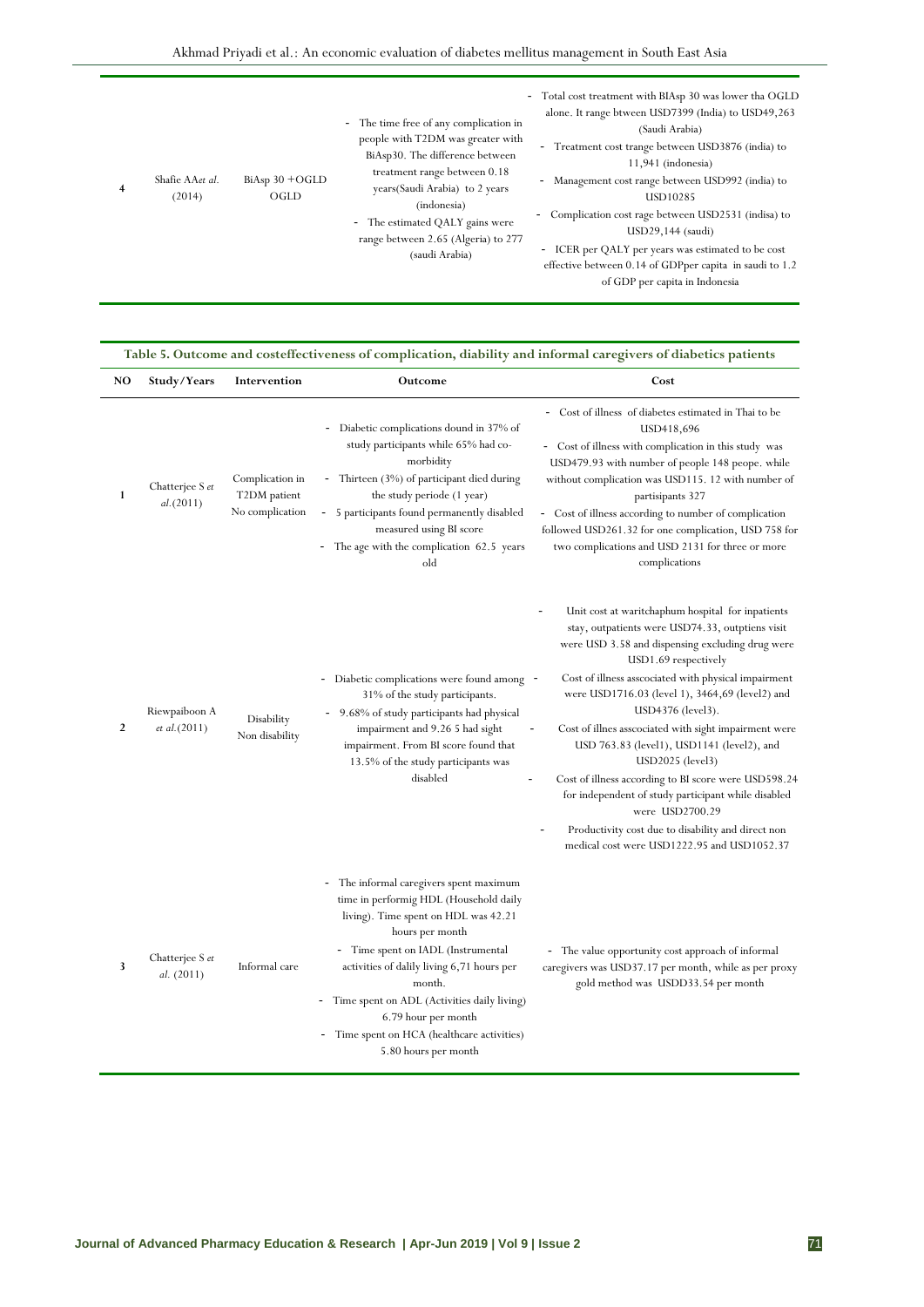| 4 | Shafie AAet al.<br>(2014) | $BiAsp 30 + OGLD$<br>OGLD | - The time free of any complication in<br>people with T2DM was greater with<br>BiAsp30. The difference between<br>treatment range between 0.18<br>years (Saudi Arabia) to 2 years<br>(indonesia)<br>- The estimated QALY gains were<br>range between 2.65 (Algeria) to 277<br>(saudi Arabia) | - Total cost treatment with BIAsp 30 was lower tha OGLD<br>alone. It range btween USD7399 (India) to USD49,263<br>(Saudi Arabia)<br>- Treatment cost trange between USD3876 (india) to<br>$11,941$ (indonesia)<br>Management cost range between USD992 (india) to<br>$\sim$<br>USD10285<br>Complication cost rage between USD2531 (indisa) to<br>USD29,144 (saudi)<br>- ICER per QALY per years was estimated to be cost<br>effective between 0.14 of GDPper capita in saudi to 1.2<br>of GDP per capita in Indonesia |
|---|---------------------------|---------------------------|----------------------------------------------------------------------------------------------------------------------------------------------------------------------------------------------------------------------------------------------------------------------------------------------|-----------------------------------------------------------------------------------------------------------------------------------------------------------------------------------------------------------------------------------------------------------------------------------------------------------------------------------------------------------------------------------------------------------------------------------------------------------------------------------------------------------------------|
|---|---------------------------|---------------------------|----------------------------------------------------------------------------------------------------------------------------------------------------------------------------------------------------------------------------------------------------------------------------------------------|-----------------------------------------------------------------------------------------------------------------------------------------------------------------------------------------------------------------------------------------------------------------------------------------------------------------------------------------------------------------------------------------------------------------------------------------------------------------------------------------------------------------------|

#### **Table 5. Outcome and costeffectiveness of complication, diability and informal caregivers of diabetics patients**

| NO | Study/Years                             | Intervention                                       | Outcome                                                                                                                                                                                                                                                                                                                                                                                                         | Cost                                                                                                                                                                                                                                                                                                                                                                                                                                                                                                                                                                                                                                                                                  |  |  |
|----|-----------------------------------------|----------------------------------------------------|-----------------------------------------------------------------------------------------------------------------------------------------------------------------------------------------------------------------------------------------------------------------------------------------------------------------------------------------------------------------------------------------------------------------|---------------------------------------------------------------------------------------------------------------------------------------------------------------------------------------------------------------------------------------------------------------------------------------------------------------------------------------------------------------------------------------------------------------------------------------------------------------------------------------------------------------------------------------------------------------------------------------------------------------------------------------------------------------------------------------|--|--|
| 1  | Chatterjee S et<br>al. (2011)           | Complication in<br>T2DM patient<br>No complication | Diabetic complications dound in 37% of<br>study participants while 65% had co-<br>morbidity<br>- Thirteen (3%) of participant died during<br>the study periode (1 year)<br>5 participants found permanently disabled<br>$\overline{\phantom{a}}$<br>measured using BI score<br>The age with the complication 62.5 years<br>$\overline{\phantom{a}}$<br>old                                                      | Cost of illness of diabetes estimated in Thai to be<br>USD418,696<br>- Cost of illness with complication in this study was<br>USD479.93 with number of people 148 peope. while<br>without complication was USD115. 12 with number of<br>partisipants 327<br>- Cost of illness according to number of complication<br>followed USD261.32 for one complication, USD 758 for<br>two complications and USD 2131 for three or more<br>complications                                                                                                                                                                                                                                        |  |  |
| 2  | Riewpaiboon A<br><i>et al.</i> $(2011)$ | Disability<br>Non disability                       | Diabetic complications were found among -<br>31% of the study participants.<br>9.68% of study participants had physical<br>impairment and 9.26 5 had sight<br>impairment. From BI score found that<br>13.5% of the study participants was<br>disabled                                                                                                                                                           | Unit cost at waritchaphum hospital for inpatients<br>stay, outpatients were USD74.33, outptiens visit<br>were USD 3.58 and dispensing excluding drug were<br>USD1.69 respectively<br>Cost of illness asscociated with physical impairment<br>were USD1716.03 (level 1), 3464,69 (level2) and<br>USD4376 (level3).<br>Cost of illnes assocciated with sight impairment were<br>USD 763.83 (level1), USD1141 (level2), and<br>$USD2025$ (level3)<br>Cost of illness according to BI score were USD598.24<br>for independent of study participant while disabled<br>were USD2700.29<br>Productivity cost due to disability and direct non<br>medical cost were USD1222.95 and USD1052.37 |  |  |
| 3  | Chatterjee S et<br>al. (2011)           | Informal care                                      | The informal caregivers spent maximum<br>time in performig HDL (Household daily<br>living). Time spent on HDL was 42.21<br>hours per month<br>- Time spent on IADL (Instrumental<br>activities of dalily living 6,71 hours per<br>month.<br>Time spent on ADL (Activities daily living)<br>6.79 hour per month<br>Time spent on HCA (healthcare activities)<br>$\overline{\phantom{m}}$<br>5.80 hours per month | - The value opportunity cost approach of informal<br>caregivers was USD37.17 per month, while as per proxy<br>gold method was USDD33.54 per month                                                                                                                                                                                                                                                                                                                                                                                                                                                                                                                                     |  |  |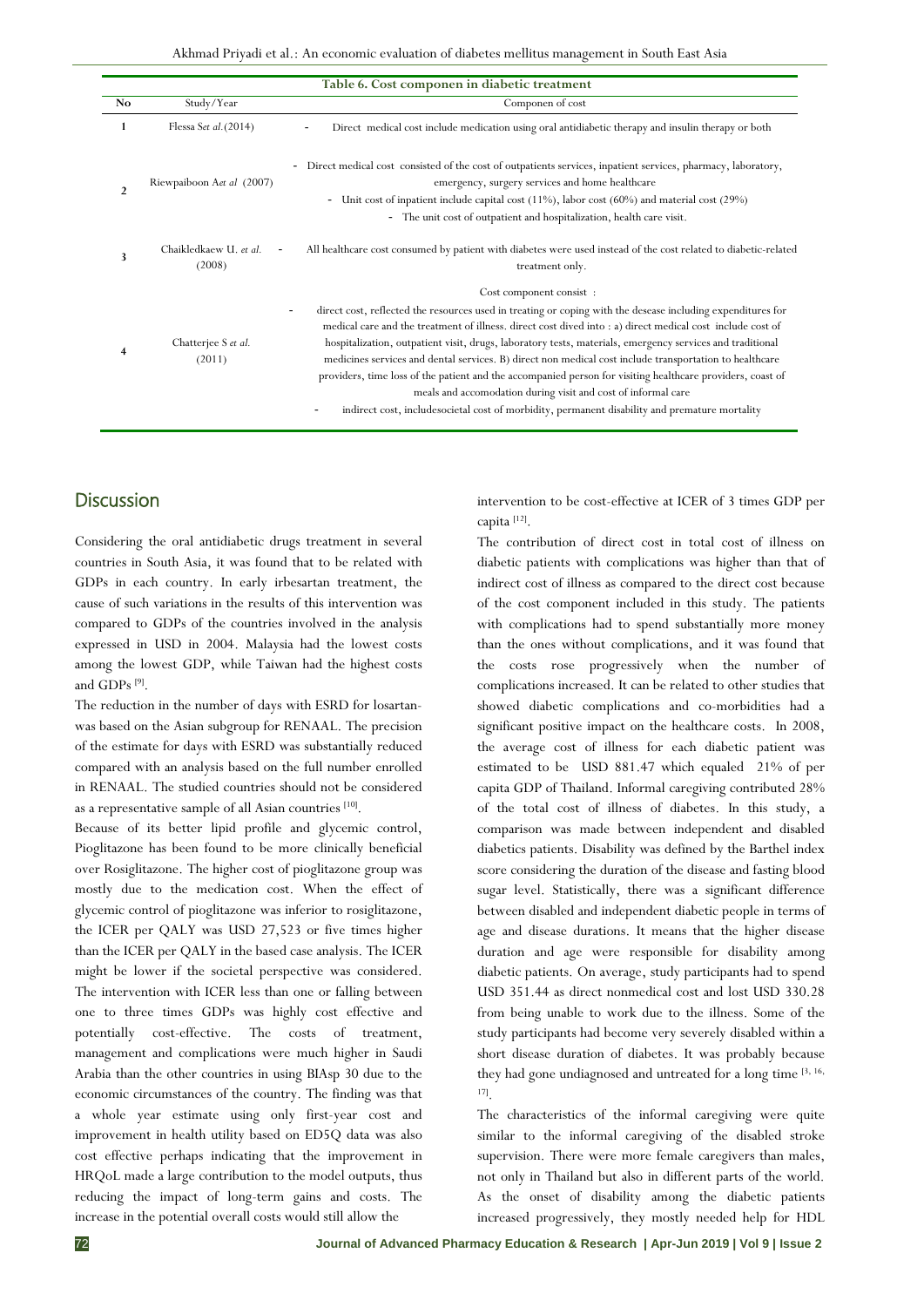|                | Table 6. Cost componen in diabetic treatment |                                                                                                                                                                                                                                                                                                                                                                                                     |  |  |  |  |
|----------------|----------------------------------------------|-----------------------------------------------------------------------------------------------------------------------------------------------------------------------------------------------------------------------------------------------------------------------------------------------------------------------------------------------------------------------------------------------------|--|--|--|--|
| No             | Study/Year                                   | Componen of cost                                                                                                                                                                                                                                                                                                                                                                                    |  |  |  |  |
|                | Flessa Set al. $(2014)$                      | Direct medical cost include medication using oral antidiabetic therapy and insulin therapy or both<br>۰.                                                                                                                                                                                                                                                                                            |  |  |  |  |
| $\overline{2}$ | Riewpaiboon Aet al (2007)                    | Direct medical cost consisted of the cost of outpatients services, inpatient services, pharmacy, laboratory,<br>emergency, surgery services and home healthcare                                                                                                                                                                                                                                     |  |  |  |  |
|                |                                              | Unit cost of inpatient include capital cost $(11\%)$ , labor cost $(60\%)$ and material cost $(29\%)$<br>$\sim$                                                                                                                                                                                                                                                                                     |  |  |  |  |
|                |                                              | The unit cost of outpatient and hospitalization, health care visit.                                                                                                                                                                                                                                                                                                                                 |  |  |  |  |
| 3              | Chaikledkaew U. et al.<br>(2008)             | All healthcare cost consumed by patient with diabetes were used instead of the cost related to diabetic-related<br>treatment only.                                                                                                                                                                                                                                                                  |  |  |  |  |
|                |                                              | Cost component consist:                                                                                                                                                                                                                                                                                                                                                                             |  |  |  |  |
|                |                                              | direct cost, reflected the resources used in treating or coping with the desease including expenditures for<br>۰<br>medical care and the treatment of illness. direct cost dived into : a) direct medical cost include cost of                                                                                                                                                                      |  |  |  |  |
| 4              | Chatterjee S et al.<br>(2011)                | hospitalization, outpatient visit, drugs, laboratory tests, materials, emergency services and traditional<br>medicines services and dental services. B) direct non medical cost include transportation to healthcare<br>providers, time loss of the patient and the accompanied person for visiting healthcare providers, coast of<br>meals and accomodation during visit and cost of informal care |  |  |  |  |
|                |                                              | indirect cost, includes ocietal cost of morbidity, permanent disability and premature mortality                                                                                                                                                                                                                                                                                                     |  |  |  |  |

#### **Discussion**

Considering the oral antidiabetic drugs treatment in several countries in South Asia, it was found that to be related with GDPs in each country. In early irbesartan treatment, the cause of such variations in the results of this intervention was compared to GDPs of the countries involved in the analysis expressed in USD in 2004. Malaysia had the lowest costs among the lowest GDP, while Taiwan had the highest costs and GDPs [9] .

The reduction in the number of days with ESRD for losartanwas based on the Asian subgroup for RENAAL. The precision of the estimate for days with ESRD was substantially reduced compared with an analysis based on the full number enrolled in RENAAL. The studied countries should not be considered as a representative sample of all Asian countries [10].

Because of its better lipid profile and glycemic control, Pioglitazone has been found to be more clinically beneficial over Rosiglitazone. The higher cost of pioglitazone group was mostly due to the medication cost. When the effect of glycemic control of pioglitazone was inferior to rosiglitazone, the ICER per QALY was USD 27,523 or five times higher than the ICER per QALY in the based case analysis. The ICER might be lower if the societal perspective was considered. The intervention with ICER less than one or falling between one to three times GDPs was highly cost effective and potentially cost-effective. The costs of treatment, management and complications were much higher in Saudi Arabia than the other countries in using BIAsp 30 due to the economic circumstances of the country. The finding was that a whole year estimate using only first-year cost and improvement in health utility based on ED5Q data was also cost effective perhaps indicating that the improvement in HRQoL made a large contribution to the model outputs, thus reducing the impact of long-term gains and costs. The increase in the potential overall costs would still allow the

intervention to be cost-effective at ICER of 3 times GDP per capita<sup>[12]</sup>.

The contribution of direct cost in total cost of illness on diabetic patients with complications was higher than that of indirect cost of illness as compared to the direct cost because of the cost component included in this study. The patients with complications had to spend substantially more money than the ones without complications, and it was found that the costs rose progressively when the number of complications increased. It can be related to other studies that showed diabetic complications and co-morbidities had a significant positive impact on the healthcare costs. In 2008, the average cost of illness for each diabetic patient was estimated to be USD 881.47 which equaled 21% of per capita GDP of Thailand. Informal caregiving contributed 28% of the total cost of illness of diabetes. In this study, a comparison was made between independent and disabled diabetics patients. Disability was defined by the Barthel index score considering the duration of the disease and fasting blood sugar level. Statistically, there was a significant difference between disabled and independent diabetic people in terms of age and disease durations. It means that the higher disease duration and age were responsible for disability among diabetic patients. On average, study participants had to spend USD 351.44 as direct nonmedical cost and lost USD 330.28 from being unable to work due to the illness. Some of the study participants had become very severely disabled within a short disease duration of diabetes. It was probably because they had gone undiagnosed and untreated for a long time [3, 16, 17] .

The characteristics of the informal caregiving were quite similar to the informal caregiving of the disabled stroke supervision. There were more female caregivers than males, not only in Thailand but also in different parts of the world. As the onset of disability among the diabetic patients increased progressively, they mostly needed help for HDL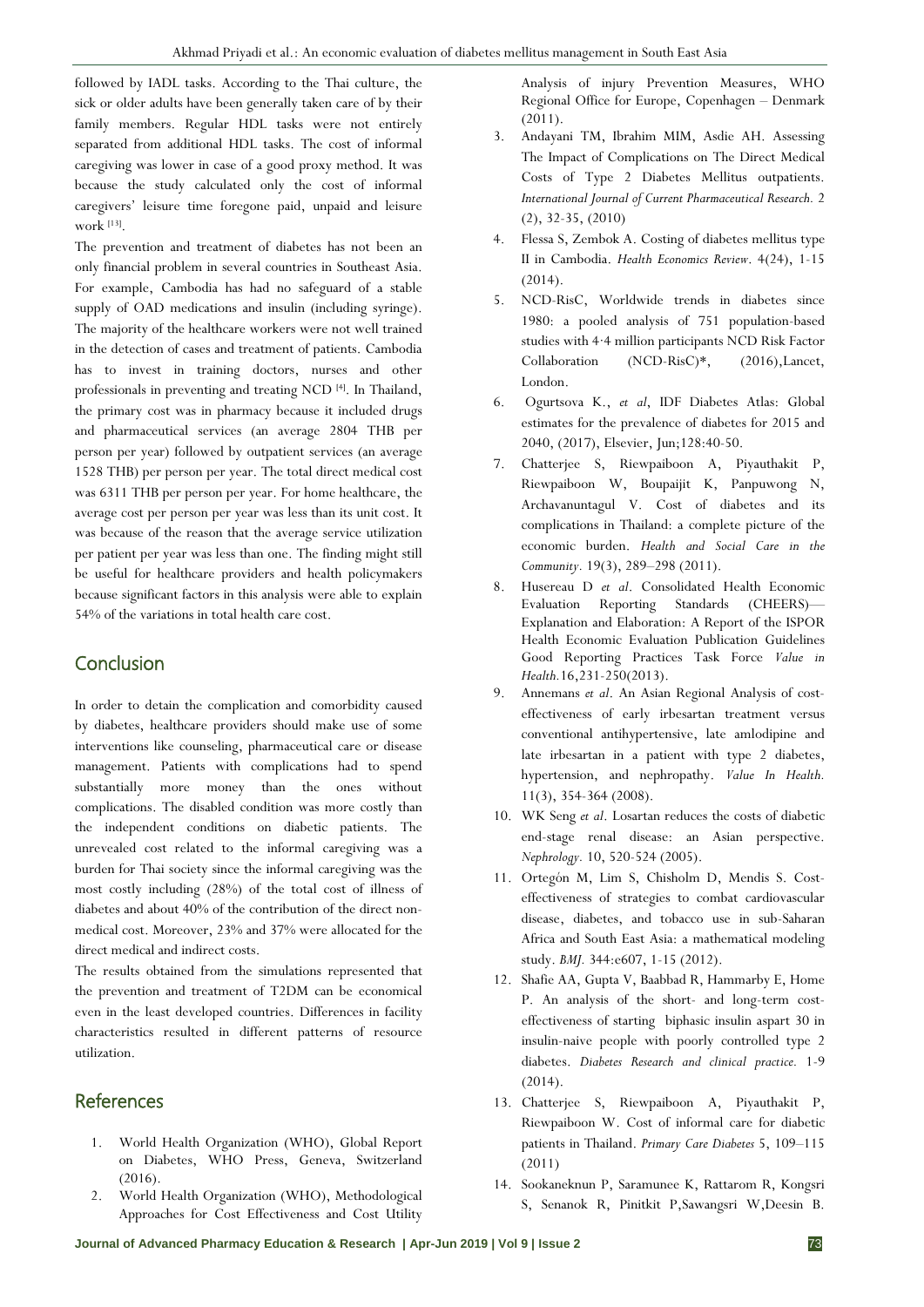followed by IADL tasks. According to the Thai culture, the sick or older adults have been generally taken care of by their family members. Regular HDL tasks were not entirely separated from additional HDL tasks. The cost of informal caregiving was lower in case of a good proxy method. It was because the study calculated only the cost of informal caregivers' leisure time foregone paid, unpaid and leisure work [13] .

The prevention and treatment of diabetes has not been an only financial problem in several countries in Southeast Asia. For example, Cambodia has had no safeguard of a stable supply of OAD medications and insulin (including syringe). The majority of the healthcare workers were not well trained in the detection of cases and treatment of patients. Cambodia has to invest in training doctors, nurses and other professionals in preventing and treating NCD [4]. In Thailand, the primary cost was in pharmacy because it included drugs and pharmaceutical services (an average 2804 THB per person per year) followed by outpatient services (an average 1528 THB) per person per year. The total direct medical cost was 6311 THB per person per year. For home healthcare, the average cost per person per year was less than its unit cost. It was because of the reason that the average service utilization per patient per year was less than one. The finding might still be useful for healthcare providers and health policymakers because significant factors in this analysis were able to explain 54% of the variations in total health care cost.

# **Conclusion**

In order to detain the complication and comorbidity caused by diabetes, healthcare providers should make use of some interventions like counseling, pharmaceutical care or disease management. Patients with complications had to spend substantially more money than the ones without complications. The disabled condition was more costly than the independent conditions on diabetic patients. The unrevealed cost related to the informal caregiving was a burden for Thai society since the informal caregiving was the most costly including (28%) of the total cost of illness of diabetes and about 40% of the contribution of the direct nonmedical cost. Moreover, 23% and 37% were allocated for the direct medical and indirect costs.

The results obtained from the simulations represented that the prevention and treatment of T2DM can be economical even in the least developed countries. Differences in facility characteristics resulted in different patterns of resource utilization.

# References

- 1. World Health Organization (WHO), Global Report on Diabetes, WHO Press, Geneva, Switzerland (2016).
- 2. World Health Organization (WHO), Methodological Approaches for Cost Effectiveness and Cost Utility

Analysis of injury Prevention Measures, WHO Regional Office for Europe, Copenhagen – Denmark  $(2011)$ .

- 3. Andayani TM, Ibrahim MIM, Asdie AH. Assessing The Impact of Complications on The Direct Medical Costs of Type 2 Diabetes Mellitus outpatients. *International Journal of Current Pharmaceutical Research.* 2 (2), 32-35, (2010)
- 4. Flessa S, Zembok A. Costing of diabetes mellitus type II in Cambodia. *Health Economics Review*. 4(24), 1-15 (2014).
- 5. NCD-RisC, Worldwide trends in diabetes since 1980: a pooled analysis of 751 population-based studies with 4·4 million participants NCD Risk Factor Collaboration (NCD-RisC)\*, (2016),Lancet, London.
- 6. Ogurtsova K., *et al*, IDF Diabetes Atlas: Global estimates for the prevalence of diabetes for 2015 and 2040, (2017), Elsevier, Jun;128:40-50.
- 7. Chatterjee S, Riewpaiboon A, Piyauthakit P, Riewpaiboon W, Boupaijit K, Panpuwong N, Archavanuntagul V. Cost of diabetes and its complications in Thailand: a complete picture of the economic burden. *Health and Social Care in the Community.* 19(3), 289–298 (2011).
- 8. Husereau D *et al*. Consolidated Health Economic Evaluation Reporting Standards (CHEERS)— Explanation and Elaboration: A Report of the ISPOR Health Economic Evaluation Publication Guidelines Good Reporting Practices Task Force *Value in Health.*16,231-250(2013).
- 9. Annemans *et al*. An Asian Regional Analysis of costeffectiveness of early irbesartan treatment versus conventional antihypertensive, late amlodipine and late irbesartan in a patient with type 2 diabetes, hypertension, and nephropathy. *Value In Health.* 11(3), 354-364 (2008).
- 10. WK Seng *et al*. Losartan reduces the costs of diabetic end-stage renal disease: an Asian perspective. *Nephrology.* 10, 520-524 (2005).
- 11. Ortegón M, Lim S, Chisholm D, Mendis S. Costeffectiveness of strategies to combat cardiovascular disease, diabetes, and tobacco use in sub-Saharan Africa and South East Asia: a mathematical modeling study. *BMJ.* 344:e607, 1-15 (2012).
- 12. Shafie AA, Gupta V, Baabbad R, Hammarby E, Home P. An analysis of the short- and long-term costeffectiveness of starting biphasic insulin aspart 30 in insulin-naive people with poorly controlled type 2 diabetes. *Diabetes Research and clinical practice.* 1-9 (2014).
- 13. Chatterjee S, Riewpaiboon A, Piyauthakit P, Riewpaiboon W. Cost of informal care for diabetic patients in Thailand. *Primary Care Diabetes* 5, 109–115 (2011)
- 14. Sookaneknun P, Saramunee K, Rattarom R, Kongsri S, Senanok R, Pinitkit P,Sawangsri W,Deesin B.